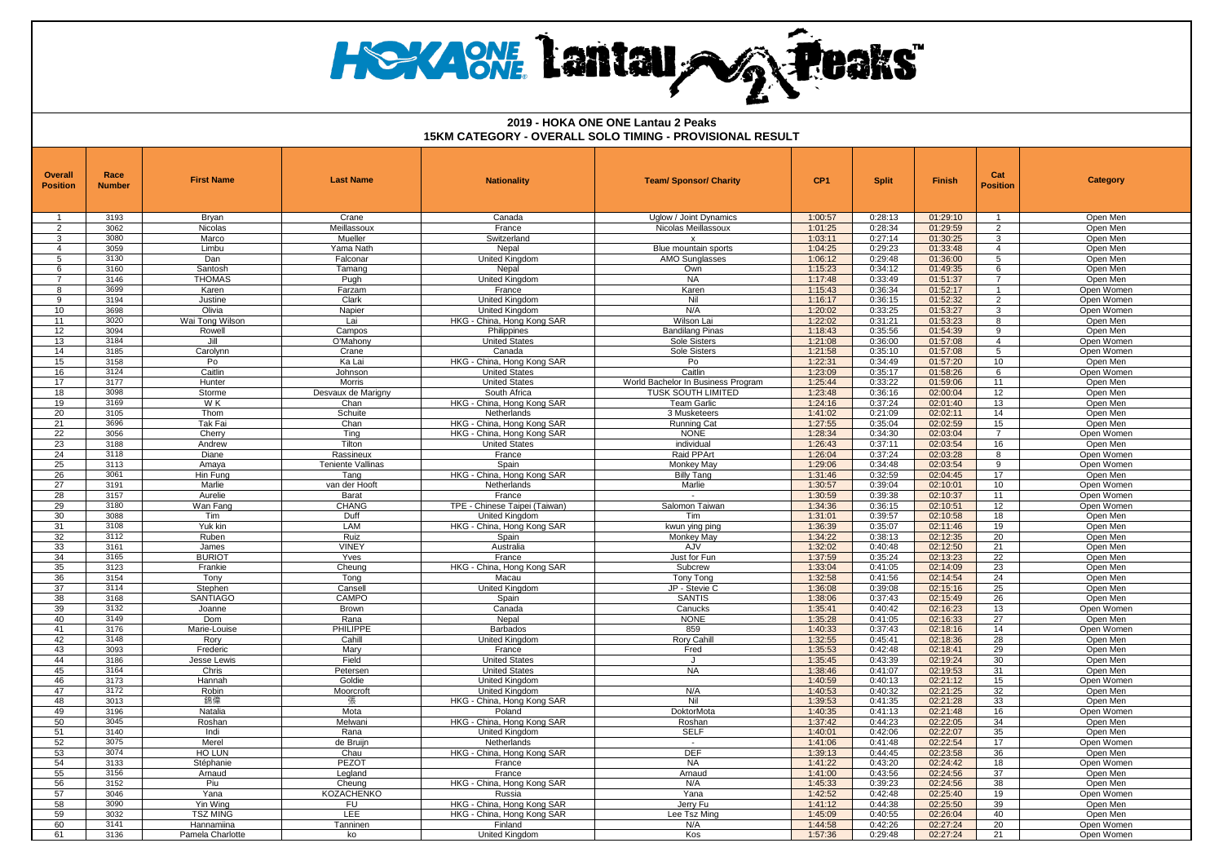# **HEXACNE Lantau AG Peaks**

| <b>Overall</b><br><b>Position</b> | Race<br><b>Number</b> | <b>First Name</b>      | <b>Last Name</b>         | <b>Nationality</b>                        | <b>Team/ Sponsor/ Charity</b>      | CP <sub>1</sub>    | <b>Split</b>       | <b>Finish</b>        | Cat<br><b>Position</b> | <b>Category</b>          |
|-----------------------------------|-----------------------|------------------------|--------------------------|-------------------------------------------|------------------------------------|--------------------|--------------------|----------------------|------------------------|--------------------------|
|                                   | 3193                  | Bryan                  | Crane                    | Canada                                    | Uglow / Joint Dynamics             | 1:00:57            | 0:28:13            | 01:29:10             | $\overline{1}$         | Open Men                 |
| 2                                 | 3062                  | Nicolas                | Meillassoux              | France                                    | Nicolas Meillassoux                | 1:01:25            | 0:28:34            | 01:29:59             | $\mathcal{P}$          | Open Men                 |
| 3                                 | 3080                  | Marco                  | Mueller                  | Switzerland                               | $\mathsf{x}$                       | 1:03:11            | 0:27:14            | 01:30:25             | 3                      | Open Men                 |
| $\overline{4}$                    | 3059                  | Limbu                  | Yama Nath                | Nepal                                     | Blue mountain sports               | 1:04:25            | 0:29:23            | 01:33:48             | $\overline{4}$         | Open Men                 |
| 5                                 | 3130                  | Dan                    | Falconar                 | <b>United Kinadom</b>                     | <b>AMO Sunglasses</b>              | 1:06:12            | 0:29:48            | 01:36:00             | 5                      | Open Men                 |
| 6                                 | 3160                  | Santosh                | Tamang                   | Nepal                                     | Own                                | 1:15:23            | 0:34:12            | 01:49:35             | 6                      | Open Men                 |
| 8                                 | 3146<br>3699          | THOMAS<br>Karen        | Puah                     | <b>United Kingdom</b><br>France           | <b>NA</b><br>Karen                 | 1:17:48<br>1:15:43 | 0:33:49<br>0:36:34 | 01:51:37<br>01:52:17 | $\overline{7}$<br>-1   | Open Men                 |
| 9                                 | 3194                  | Justine                | Farzam<br>Clark          | <b>United Kingdom</b>                     | Nil                                | 1:16:17            | 0:36:15            | 01:52:32             | 2                      | Open Women<br>Open Women |
| 10                                | 3698                  | Olivia                 | Napier                   | <b>United Kingdom</b>                     | N/A                                | 1:20:02            | 0:33:25            | 01:53:27             | $\mathcal{R}$          | Open Women               |
| 11                                | 3020                  | Wai Tong Wilson        | Lai                      | HKG - China, Hong Kong SAR                | Wilson Lai                         | 1:22:02            | 0:31:21            | 01:53:23             | 8                      | Open Men                 |
| 12                                | 3094                  | Rowell                 | Campos                   | Philippines                               | <b>Bandilang Pinas</b>             | 1:18:43            | 0:35:56            | 01:54:39             | 9                      | Open Men                 |
| 13                                | 3184                  | Jill                   | O'Mahonv                 | <b>United States</b>                      | Sole Sisters                       | 1:21:08            | 0:36:00            | 01:57:08             | $\overline{4}$         | Open Women               |
| 14                                | 3185                  | Carolynn               | Crane                    | Canada                                    | Sole Sisters                       | 1:21:58            | 0:35:10            | 01:57:08             | 5                      | Open Women               |
| 15                                | 3158                  | Po                     | Ka Lai                   | HKG - China, Hong Kong SAR                | Po                                 | 1:22:31            | 0:34:49            | 01:57:20             | 10                     | Open Men                 |
| 16                                | 3124                  | Caitlin                | Johnson                  | <b>United States</b>                      | Caitlin                            | 1:23:09            | 0:35:17            | 01:58:26             | 6                      | Open Women               |
| 17                                | 3177                  | Hunter                 | Morris                   | <b>United States</b>                      | World Bachelor In Business Program | 1:25:44            | 0:33:22            | 01:59:06             | 11                     | Open Men                 |
| 18                                | 3098                  | Storme                 | Desvaux de Marigny       | South Africa                              | <b>TUSK SOUTH LIMITED</b>          | 1:23:48            | 0:36:16            | 02:00:04             | 12                     | Open Men                 |
| 19<br>20                          | 3169<br>3105          | W K<br>Thom            | Chan<br>Schuite          | HKG - China, Hong Kong SAR<br>Netherlands | Team Garlic<br>3 Musketeers        | 1:24:16<br>1:41:02 | 0:37:24<br>0:21:09 | 02:01:40<br>02:02:11 | 13<br>14               | Open Men<br>Open Men     |
| 21                                | 3696                  | Tak Fai                | Chan                     | HKG - China, Hong Kong SAR                | <b>Running Cat</b>                 | 1:27:55            | 0:35:04            | 02:02:59             | 15                     | Open Men                 |
| 22                                | 3056                  | Cherry                 | Ting                     | HKG - China, Hong Kong SAR                | <b>NONE</b>                        | 1:28:34            | 0:34:30            | 02:03:04             | $\overline{7}$         | Open Women               |
| 23                                | 3188                  | Andrew                 | Tilton                   | <b>United States</b>                      | individual                         | 1:26:43            | 0:37:11            | 02:03:54             | 16                     | Open Men                 |
| 24                                | 3118                  | Diane                  | Rassineux                | France                                    | Raid PPArt                         | 1:26:04            | 0:37:24            | 02:03:28             | 8                      | Open Women               |
| 25                                | 3113                  | Amaya                  | <b>Teniente Vallinas</b> | Spain                                     | Monkey May                         | 1:29:06            | 0:34:48            | 02:03:54             | 9                      | Open Women               |
| 26                                | 3061                  | Hin Funa               | Tang                     | HKG - China, Hong Kong SAR                | <b>Billy Tang</b>                  | 1:31:46            | 0:32:59            | 02:04:45             | 17                     | Open Men                 |
| 27                                | 3191                  | Marlie                 | van der Hooft            | Netherlands                               | Marlie                             | 1:30:57            | 0:39:04            | 02:10:01             | 10                     | Open Women               |
| 28                                | 3157                  | Aurelie                | Barat                    | France                                    |                                    | 1:30:59            | 0:39:38            | 02:10:37             | 11                     | Open Women               |
| 29                                | 3180                  | Wan Fang               | <b>CHANG</b>             | TPE - Chinese Taipei (Taiwan)             | Salomon Taiwan                     | 1:34:36            | 0:36:15            | 02:10:51             | 12                     | Open Women               |
| 30<br>31                          | 3088                  | Tim<br>Yuk kin         | Duff<br>LAM              | United Kingdom                            | Tim                                | 1:31:01            | 0:39:57<br>0:35:07 | 02:10:58<br>02:11:46 | 18<br>19               | Open Men                 |
| 32                                | 3108<br>3112          | Ruben                  | Ruiz                     | HKG - China, Hong Kong SAR<br>Spain       | kwun ying ping<br>Monkey May       | 1:36:39<br>1:34:22 | 0:38:13            | 02:12:35             | 20                     | Open Men<br>Open Men     |
| 33                                | 3161                  | James                  | <b>VINEY</b>             | Australia                                 | AJV                                | 1:32:02            | 0:40:48            | 02:12:50             | 21                     | Open Men                 |
| 34                                | 3165                  | <b>BURIOT</b>          | Yves                     | France                                    | Just for Fun                       | 1:37:59            | 0:35:24            | 02:13:23             | 22                     | Open Men                 |
| 35                                | 3123                  | Frankie                | Cheung                   | HKG - China, Hong Kong SAR                | Subcrew                            | 1:33:04            | 0:41:05            | 02:14:09             | 23                     | Open Men                 |
| 36                                | 3154                  | Tony                   | Tong                     | Macau                                     | <b>Tony Tong</b>                   | 1:32:58            | 0:41:56            | 02:14:54             | 24                     | Open Men                 |
| 37                                | 3114                  | Stephen                | Cansell                  | <b>United Kingdom</b>                     | JP - Stevie C                      | 1:36:08            | 0:39:08            | 02:15:16             | 25                     | Open Men                 |
| 38                                | 3168                  | <b>SANTIAGO</b>        | CAMPO                    | Spain                                     | <b>SANTIS</b>                      | 1:38:06            | 0:37:43            | 02:15:49             | 26                     | Open Men                 |
| 39                                | 3132                  | Joanne                 | Brown                    | Canada                                    | Canucks                            | 1:35:41            | 0:40:42            | 02:16:23             | 13                     | Open Women               |
| 40                                | 3149                  | <b>Dom</b>             | Rana                     | Nepal                                     | <b>NONE</b>                        | 1:35:28            | 0:41:05            | 02:16:33             | 27                     | Open Men                 |
| 41                                | 3176                  | Marie-Louise           | PHILIPPE                 | Barbados                                  | 859                                | 1:40:33            | 0:37:43            | 02:18:16             | 14                     | Open Women               |
| 42<br>43                          | 3148<br>3093          | Rory<br>Frederic       | Cahill<br>Mary           | United Kingdom<br>France                  | <b>Rory Cahil</b><br>Fred          | 1:32:55<br>1:35:53 | 0:45:41<br>0:42:48 | 02:18:36<br>02:18:41 | 28<br>29               | Open Men<br>Open Men     |
| 44                                | 3186                  | Jesse Lewis            | Field                    | <b>United States</b>                      | $\cdot$                            | 1:35:45            | 0:43:39            | 02:19:24             | 30                     | Open Men                 |
| 45                                | 3164                  | Chris                  | Petersen                 | <b>United States</b>                      | <b>NA</b>                          | 1:38:46            | 0:41:07            | 02:19:53             | 31                     | Open Men                 |
| 46                                | 3173                  | Hannah                 | Goldie                   | United Kingdom                            |                                    | 1:40:59            | 0:40:13            | 02:21:12             | 15                     | Open Womer               |
| 47                                | 3172                  | Robin                  | Moorcroft                | <b>United Kingdom</b>                     | N/A                                | 1:40:53            | 0:40:32            | 02:21:25             | 32                     | Open Men                 |
| 48                                | 3013                  | 錦偉                     | 張                        | HKG - China, Hong Kong SAR                | Nil                                | 1:39:53            | 0:41:35            | 02:21:28             | 33                     | Open Men                 |
| 49                                | 3196                  | Natalia                | Mota                     | Poland                                    | DoktorMota                         | 1:40:35            | 0:41:13            | 02:21:48             | 16                     | Open Women               |
| 50                                | 3045                  | Roshan                 | Melwani                  | HKG - China, Hong Kong SAR                | Roshan                             | 1:37:42            | 0:44:23            | 02:22:05             | 34                     | Open Men                 |
| 51                                | 3140                  | Indi                   | Rana                     | United Kingdom                            | <b>SELF</b>                        | 1:40:01            | 0:42:06            | 02:22:07             | 35                     | Open Men                 |
| 52<br>53                          | 3075<br>3074          | Merel<br><b>HO LUN</b> | de Bruijn                | Netherlands                               | $\sim$<br>DEF                      | 1:41:06<br>1:39:13 | 0:41:48<br>0:44:45 | 02:22:54<br>02:23:58 | 17<br>36               | Open Women               |
| 54                                | 3133                  | Stéphanie              | Chau<br>PEZOT            | HKG - China, Hong Kong SAR<br>France      | <b>NA</b>                          | 1:41:22            | 0:43:20            | 02:24:42             | 18                     | Open Men<br>Open Women   |
| 55                                | 3156                  | Arnaud                 | Legland                  | France                                    | Arnaud                             | 1:41:00            | 0:43:56            | 02:24:56             | 37                     | Open Men                 |
| 56                                | 3152                  | Piu                    | Cheuna                   | HKG - China, Hong Kong SAR                | N/A                                | 1:45:33            | 0:39:23            | 02:24:56             | 38                     | Open Men                 |
| 57                                | 3046                  | Yana                   | <b>KOZACHENKO</b>        | Russia                                    | Yana                               | 1:42:52            | 0:42:48            | 02:25:40             | 19                     | Open Women               |
| 58                                | 3090                  | Yin Wing               | <b>FU</b>                | HKG - China, Hong Kong SAR                | Jerry Fu                           | 1:41:12            | 0:44:38            | 02:25:50             | 39                     | Open Men                 |
| 59                                | 3032                  | <b>TSZ MING</b>        | <b>LEE</b>               | HKG - China, Hong Kong SAR                | Lee Tsz Ming                       | 1:45:09            | 0:40:55            | 02:26:04             | 40                     | Open Men                 |
| 60                                | 3141                  | Hannamiina             | Tanninen                 | Finland                                   | N/A                                | 1:44:58            | 0:42:26            | 02:27:24             | 20                     | Open Women               |
| 61                                | 3136                  | Pamela Charlotte       | ko                       | <b>United Kinadom</b>                     | Kos                                | 1:57:36            | 0:29:48            | 02:27:24             | 21                     | Open Women               |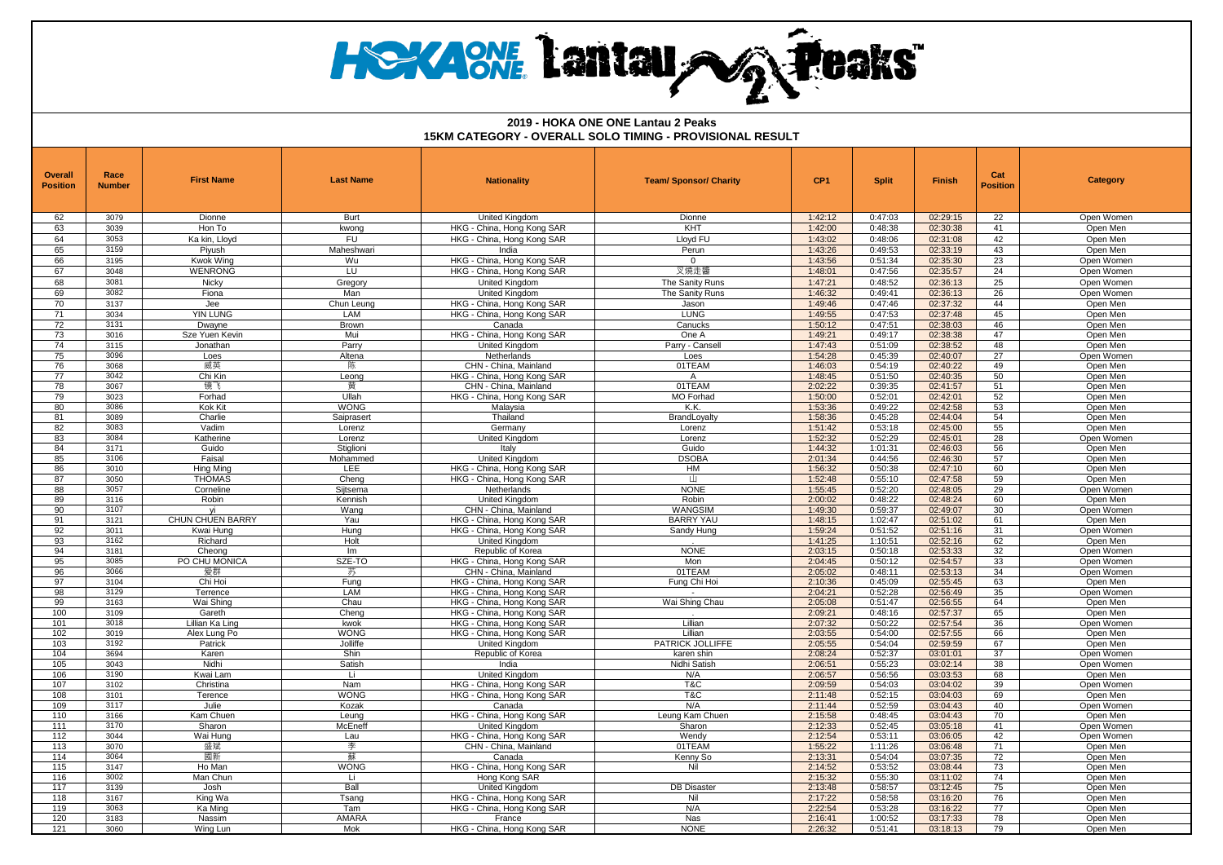# **HEXACNE Lantau AG Peaks**

| 62<br>3079<br>1:42:12<br>0:47:03<br>02:29:15<br>22<br>Dionne<br><b>Burt</b><br>United Kinadom<br>Dionne<br>Open Women<br>63<br>3039<br>HKG - China, Hong Kong SAR<br>KHT<br>1:42:00<br>0:48:38<br>02:30:38<br>Hon To<br>kwona<br>41<br>Open Men<br><b>FU</b><br>3053<br>Ka kin. Llovd<br>HKG - China, Hong Kong SAR<br>Llovd FU<br>1:43:02<br>0:48:06<br>02:31:08<br>42<br>64<br>Open Men<br>43<br>65<br>3159<br>Piyush<br>Maheshwari<br>India<br>Perun<br>1:43:26<br>0:49:53<br>02:33:19<br>Open Men<br>23<br>3195<br>02:35:30<br>66<br>Kwok Wina<br>Wu<br>HKG - China, Hong Kong SAR<br>1:43:56<br>0:51:34<br>Open Women<br>$\overline{0}$<br>3048<br><b>WENRONG</b><br>叉燒走醬<br>1:48:01<br>24<br>67<br>LU<br>HKG - China, Hong Kong SAR<br>0:47:56<br>02:35:57<br>Open Women<br>68<br>3081<br>Nicky<br>United Kingdom<br>The Sanity Runs<br>1:47:21<br>0:48:52<br>02:36:13<br>25<br>Open Women<br>Gregory<br>3082<br>26<br>69<br>Fiona<br>Man<br><b>United Kinadom</b><br>The Sanity Runs<br>1:46:32<br>0:49:41<br>02:36:13<br>Open Women<br>3137<br>70<br>1:49:46<br>0:47:46<br>02:37:32<br>44<br>Jee<br>Chun Leung<br>HKG - China, Hong Kong SAR<br>Open Men<br>Jason<br><b>YIN LUNG</b><br>HKG - China, Hong Kong SAR<br>1:49:55<br>0:47:53<br>45<br>71<br>3034<br>LAM<br><b>LUNG</b><br>02:37:48<br>Open Men<br>72<br>1:50:12<br>46<br>0:47:51<br>02:38:03<br>3131<br>Dwayne<br>Brown<br>Canada<br>Canucks<br>Open Men<br>73<br>3016<br>HKG - China, Hong Kong SAR<br>1:49:21<br>0:49:17<br>02:38:38<br>47<br>Sze Yuen Kevin<br>Mui<br>One A<br>Open Men<br>74<br>3115<br>1:47:43<br>0:51:09<br>48<br>Parry<br>Parry - Cansel<br>02:38:52<br>Open Men<br>Jonathan<br>United Kingdom<br>75<br>3096<br>1:54:28<br>0:45:39<br>02:40:07<br>27<br>Loes<br>Altena<br>Netherlands<br>Loes<br>Open Women<br>76<br>3068<br>陈<br>1:46:03<br>49<br>威英<br>CHN - China, Mainland<br>01TEAM<br>0:54:19<br>02:40:22<br>Open Men<br>77<br>3042<br>Chi Kin<br>1:48:45<br>0:51:50<br>02:40:35<br>50<br>Leong<br>HKG - China, Hong Kong SAR<br>Open Men<br>$\mathsf{A}$<br>3067<br>镜飞<br>01TEAM<br>2:02:22<br>51<br>78<br>CHN - China, Mainland<br>0:39:35<br>02:41:57<br>Open Men<br>罱<br>Ullah<br>79<br>3023<br>Forhad<br>HKG - China, Hong Kong SAR<br>MO Forhad<br>1:50:00<br>0:52:01<br>02:42:01<br>52<br>Open Men<br>80<br>3086<br>Kok Kit<br><b>WONG</b><br>Malaysia<br>K.K.<br>1:53:36<br>0:49:22<br>02:42:58<br>53<br>Open Men<br>1:58:36<br>0:45:28<br>02:44:04<br>54<br>81<br>3089<br>Charlie<br>Thailand<br>Open Men<br>Saiprasert<br>BrandLoyalty<br>82<br>3083<br>Vadim<br>Germany<br>1:51:42<br>0:53:18<br>02:45:00<br>55<br>Open Men<br>Lorenz<br>Lorenz<br>83<br>3084<br>Katherine<br><b>United Kingdom</b><br>1:52:32<br>0:52:29<br>02:45:01<br>28<br>Lorenz<br>Lorenz<br>Open Womer<br>84<br>3171<br>Guido<br>Stiglioni<br>Italy<br>Guido<br>1:44:32<br>1:01:31<br>02:46:03<br>56<br>Open Men<br><b>DSOBA</b><br>2:01:34<br>0:44:56<br>57<br>85<br>3106<br>Faisal<br>United Kingdom<br>02:46:30<br>Mohammed<br>Open Men<br>LEE<br>86<br>3010<br><b>Hing Ming</b><br>HKG - China, Hong Kong SAR<br>HM<br>1:56:32<br>0:50:38<br>02:47:10<br>60<br>Open Men<br>3050<br>87<br><b>THOMAS</b><br>HKG - China, Hong Kong SAR<br>1:52:48<br>0:55:10<br>02:47:58<br>59<br>Cheno<br>Ш<br>Open Men<br>88<br>3057<br>Siitsema<br>Netherlands<br><b>NONE</b><br>1:55:45<br>0:52:20<br>02:48:05<br>29<br>Open Women<br>Corneline<br>89<br>3116<br>Robin<br>2:00:02<br>0:48:22<br>02:48:24<br>60<br>Robin<br>Kennish<br><b>United Kingdom</b><br>Open Men<br><b>WANGSIM</b><br>0:59:37<br>30<br>90<br>3107<br>Wang<br>CHN - China, Mainland<br>1:49:30<br>02:49:07<br>Open Women<br>vi<br>3121<br>CHUN CHUEN BARRY<br>Yau<br>HKG - China, Hong Kong SAR<br><b>BARRY YAU</b><br>1:48:15<br>1:02:47<br>02:51:02<br>61<br>91<br>Open Men<br>0:51:52<br>92<br>3011<br>Kwai Hung<br>Hung<br>HKG - China. Hong Kong SAR<br>Sandy Hung<br>1:59:24<br>02:51:16<br>31<br>Open Womer<br>93<br>3162<br>Richard<br>Holt<br>1:41:25<br>1:10:51<br>02:52:16<br>62<br>United Kingdom<br>Open Men<br><b>NONE</b><br>2:03:15<br>94<br>3181<br>0:50:18<br>02:53:33<br>32<br>Cheong<br>Im<br>Republic of Korea<br>Open Women<br>95<br>3085<br>PO CHU MONICA<br>SZE-TO<br>HKG - China, Hong Kong SAR<br>2:04:45<br>0:50:12<br>02:54:57<br>33<br>Mon<br>Open Women<br>3066<br>CHN - China, Mainland<br>01TEAM<br>0:48:11<br>34<br>96<br>爱群<br>2:05:02<br>02:53:13<br>Open Women<br>苏<br>02:55:45<br>97<br>3104<br>Chi Hoi<br>Fung<br>HKG - China, Hong Kong SAR<br>Fung Chi Hoi<br>2:10:36<br>0:45:09<br>63<br>Open Men<br>98<br>LAM<br>2:04:21<br>0:52:28<br>02:56:49<br>35<br>3129<br>HKG - China, Hong Kong SAR<br>Terrence<br>Open Women<br>99<br>3163<br>Wai Shing<br>Chau<br>HKG - China, Hong Kong SAR<br>Wai Shing Chau<br>2:05:08<br>0:51:47<br>02:56:55<br>64<br>Open Men<br>100<br>2:09:21<br>0:48:16<br>65<br>3109<br>Gareth<br>Cheng<br>HKG - China, Hong Kong SAR<br>02:57:37<br>Open Men<br>101<br>3018<br>Lillian Ka Ling<br>HKG - China, Hong Kong SAR<br>Lillian<br>2:07:32<br>0:50:22<br>02:57:54<br>36<br>Open Womer<br>kwok<br>102<br>3019<br><b>WONG</b><br>Lillian<br>2:03:55<br>0:54:00<br>02:57:55<br>66<br>Alex Lung Po<br>HKG - China, Hong Kong SAR<br>Open Men<br>103<br>3192<br>Patrick<br>Jolliffe<br>United Kinadom<br>PATRICK JOLLIFFE<br>2:05:55<br>0:54:04<br>02:59:59<br>67<br>Open Men<br>104<br>3694<br>Shin<br>2:08:24<br>0:52:37<br>03:01:01<br>37<br>Karen<br>Republic of Korea<br>karen shin<br>Open Women<br>3043<br>105<br>Nidhi<br>Satish<br>Nidhi Satish<br>2:06:51<br>0:55:23<br>03:02:14<br>38<br>Open Women<br>India<br>68<br>106<br>3190<br>Kwai Lam<br>Li.<br>United Kingdom<br>N/A<br>2:06:57<br>0:56:56<br>03:03:53<br>Open Men<br>107<br>T&C<br>2:09:59<br>0:54:03<br>03:04:02<br>39<br>3102<br>Christina<br>HKG - China, Hong Kong SAR<br>Nam<br>Open Women<br>108<br><b>WONG</b><br>HKG - China, Hong Kong SAR<br>T&C<br>2:11:48<br>0:52:15<br>03:04:03<br>69<br>3101<br>Terence<br>Open Men<br>109<br>3117<br>2:11:44<br>0:52:59<br>03:04:43<br>Kozak<br>N/A<br>40<br>Julie<br>Canada<br>Open Womer<br>3166<br>2:15:58<br>0:48:45<br>03:04:43<br>70<br>110<br>Kam Chuen<br>Leuna<br>HKG - China, Hong Kong SAR<br>Leung Kam Chuen<br>Open Men<br>3170<br>2:12:33<br>0:52:45<br>41<br>111<br>Sharon<br>McEneff<br>03:05:18<br><b>United Kinadom</b><br>Sharon<br>Open Women<br>112<br>3044<br>HKG - China, Hong Kong SAR<br>2:12:54<br>0:53:11<br>03:06:05<br>42<br>Wai Hung<br>Lau<br>Wendy<br>Open Women<br>3070<br>CHN - China, Mainland<br>01TEAM<br>1:55:22<br>03:06:48<br>71<br>113<br>盛斌<br>李<br>1:11:26<br>Open Men<br>114<br>3064<br>國新<br>蘇<br>Kenny So<br>2:13:31<br>0:54:04<br>03:07:35<br>72<br>Canada<br>Open Men<br>3147<br><b>WONG</b><br>Nil<br>2:14:52<br>0:53:52<br>03:08:44<br>73<br>115<br>Ho Man<br>HKG - China, Hong Kong SAR<br>Open Men<br>2:15:32<br>03:11:02<br>74<br>116<br>3002<br>0:55:30<br>Man Chun<br>Li<br>Hong Kong SAR<br>Open Men<br>117<br>3139<br>Ball<br>United Kingdom<br><b>DB</b> Disaster<br>2:13:48<br>0:58:57<br>03:12:45<br>75<br>Open Men<br>Josh<br>2:17:22<br>118<br>3167<br>King Wa<br>Tsang<br>HKG - China, Hong Kong SAR<br>Nil<br>0:58:58<br>03:16:20<br>76<br>Open Men<br>119<br>3063<br>Ka Ming<br>Tam<br>HKG - China, Hong Kong SAR<br>N/A<br>2:22:54<br>0:53:28<br>03:16:22<br>77<br>Open Men<br>120<br>3183<br>2:16:41<br>78<br>Nassim<br>AMARA<br><b>Nas</b><br>1:00:52<br>03:17:33<br>France<br>Open Men<br><b>NONE</b><br>121<br>3060<br>Wing Lun<br>Mok<br>HKG - China, Hong Kong SAR<br>2:26:32<br>0:51:41<br>03:18:13<br>79<br>Open Men | <b>Overall</b><br><b>Position</b> | Race<br><b>Number</b> | <b>First Name</b> | <b>Last Name</b> | <b>Nationality</b> | <b>Team/ Sponsor/ Charity</b> | CP <sub>1</sub> | <b>Split</b> | Finish | Cat<br><b>Position</b> | <b>Category</b> |
|------------------------------------------------------------------------------------------------------------------------------------------------------------------------------------------------------------------------------------------------------------------------------------------------------------------------------------------------------------------------------------------------------------------------------------------------------------------------------------------------------------------------------------------------------------------------------------------------------------------------------------------------------------------------------------------------------------------------------------------------------------------------------------------------------------------------------------------------------------------------------------------------------------------------------------------------------------------------------------------------------------------------------------------------------------------------------------------------------------------------------------------------------------------------------------------------------------------------------------------------------------------------------------------------------------------------------------------------------------------------------------------------------------------------------------------------------------------------------------------------------------------------------------------------------------------------------------------------------------------------------------------------------------------------------------------------------------------------------------------------------------------------------------------------------------------------------------------------------------------------------------------------------------------------------------------------------------------------------------------------------------------------------------------------------------------------------------------------------------------------------------------------------------------------------------------------------------------------------------------------------------------------------------------------------------------------------------------------------------------------------------------------------------------------------------------------------------------------------------------------------------------------------------------------------------------------------------------------------------------------------------------------------------------------------------------------------------------------------------------------------------------------------------------------------------------------------------------------------------------------------------------------------------------------------------------------------------------------------------------------------------------------------------------------------------------------------------------------------------------------------------------------------------------------------------------------------------------------------------------------------------------------------------------------------------------------------------------------------------------------------------------------------------------------------------------------------------------------------------------------------------------------------------------------------------------------------------------------------------------------------------------------------------------------------------------------------------------------------------------------------------------------------------------------------------------------------------------------------------------------------------------------------------------------------------------------------------------------------------------------------------------------------------------------------------------------------------------------------------------------------------------------------------------------------------------------------------------------------------------------------------------------------------------------------------------------------------------------------------------------------------------------------------------------------------------------------------------------------------------------------------------------------------------------------------------------------------------------------------------------------------------------------------------------------------------------------------------------------------------------------------------------------------------------------------------------------------------------------------------------------------------------------------------------------------------------------------------------------------------------------------------------------------------------------------------------------------------------------------------------------------------------------------------------------------------------------------------------------------------------------------------------------------------------------------------------------------------------------------------------------------------------------------------------------------------------------------------------------------------------------------------------------------------------------------------------------------------------------------------------------------------------------------------------------------------------------------------------------------------------------------------------------------------------------------------------------------------------------------------------------------------------------------------------------------------------------------------------------------------------------------------------------------------------------------------------------------------------------------------------------------------------------------------------------------------------------------------------------------------------------------------------------------------------------------------------------------------------------------------------------------------------------------------------------------------------------------------------------------------------------------------------------------------------------------------------------------------------------------------------------------------------------------------------------------------------------------------------------------------------------------------------------------------------------------------------------------------------------------------------------------------------------------------------------------------------------------------------------------------------------------------------------------------------------------------------------------------------------------------------------------------------------------------------------------------------------------------------------------------------------------------------------------------------------------------------------------------------------------------------------------------------------------------------------------------------------------------------------------------------------------------------------------------------------------------------------------------------------------------------------------|-----------------------------------|-----------------------|-------------------|------------------|--------------------|-------------------------------|-----------------|--------------|--------|------------------------|-----------------|
|                                                                                                                                                                                                                                                                                                                                                                                                                                                                                                                                                                                                                                                                                                                                                                                                                                                                                                                                                                                                                                                                                                                                                                                                                                                                                                                                                                                                                                                                                                                                                                                                                                                                                                                                                                                                                                                                                                                                                                                                                                                                                                                                                                                                                                                                                                                                                                                                                                                                                                                                                                                                                                                                                                                                                                                                                                                                                                                                                                                                                                                                                                                                                                                                                                                                                                                                                                                                                                                                                                                                                                                                                                                                                                                                                                                                                                                                                                                                                                                                                                                                                                                                                                                                                                                                                                                                                                                                                                                                                                                                                                                                                                                                                                                                                                                                                                                                                                                                                                                                                                                                                                                                                                                                                                                                                                                                                                                                                                                                                                                                                                                                                                                                                                                                                                                                                                                                                                                                                                                                                                                                                                                                                                                                                                                                                                                                                                                                                                                                                                                                                                                                                                                                                                                                                                                                                                                                                                                                                                                                                                                                                                                                                                                                                                                                                                                                                                                                                                                                                                                                                                                                                                    |                                   |                       |                   |                  |                    |                               |                 |              |        |                        |                 |
|                                                                                                                                                                                                                                                                                                                                                                                                                                                                                                                                                                                                                                                                                                                                                                                                                                                                                                                                                                                                                                                                                                                                                                                                                                                                                                                                                                                                                                                                                                                                                                                                                                                                                                                                                                                                                                                                                                                                                                                                                                                                                                                                                                                                                                                                                                                                                                                                                                                                                                                                                                                                                                                                                                                                                                                                                                                                                                                                                                                                                                                                                                                                                                                                                                                                                                                                                                                                                                                                                                                                                                                                                                                                                                                                                                                                                                                                                                                                                                                                                                                                                                                                                                                                                                                                                                                                                                                                                                                                                                                                                                                                                                                                                                                                                                                                                                                                                                                                                                                                                                                                                                                                                                                                                                                                                                                                                                                                                                                                                                                                                                                                                                                                                                                                                                                                                                                                                                                                                                                                                                                                                                                                                                                                                                                                                                                                                                                                                                                                                                                                                                                                                                                                                                                                                                                                                                                                                                                                                                                                                                                                                                                                                                                                                                                                                                                                                                                                                                                                                                                                                                                                                                    |                                   |                       |                   |                  |                    |                               |                 |              |        |                        |                 |
|                                                                                                                                                                                                                                                                                                                                                                                                                                                                                                                                                                                                                                                                                                                                                                                                                                                                                                                                                                                                                                                                                                                                                                                                                                                                                                                                                                                                                                                                                                                                                                                                                                                                                                                                                                                                                                                                                                                                                                                                                                                                                                                                                                                                                                                                                                                                                                                                                                                                                                                                                                                                                                                                                                                                                                                                                                                                                                                                                                                                                                                                                                                                                                                                                                                                                                                                                                                                                                                                                                                                                                                                                                                                                                                                                                                                                                                                                                                                                                                                                                                                                                                                                                                                                                                                                                                                                                                                                                                                                                                                                                                                                                                                                                                                                                                                                                                                                                                                                                                                                                                                                                                                                                                                                                                                                                                                                                                                                                                                                                                                                                                                                                                                                                                                                                                                                                                                                                                                                                                                                                                                                                                                                                                                                                                                                                                                                                                                                                                                                                                                                                                                                                                                                                                                                                                                                                                                                                                                                                                                                                                                                                                                                                                                                                                                                                                                                                                                                                                                                                                                                                                                                                    |                                   |                       |                   |                  |                    |                               |                 |              |        |                        |                 |
|                                                                                                                                                                                                                                                                                                                                                                                                                                                                                                                                                                                                                                                                                                                                                                                                                                                                                                                                                                                                                                                                                                                                                                                                                                                                                                                                                                                                                                                                                                                                                                                                                                                                                                                                                                                                                                                                                                                                                                                                                                                                                                                                                                                                                                                                                                                                                                                                                                                                                                                                                                                                                                                                                                                                                                                                                                                                                                                                                                                                                                                                                                                                                                                                                                                                                                                                                                                                                                                                                                                                                                                                                                                                                                                                                                                                                                                                                                                                                                                                                                                                                                                                                                                                                                                                                                                                                                                                                                                                                                                                                                                                                                                                                                                                                                                                                                                                                                                                                                                                                                                                                                                                                                                                                                                                                                                                                                                                                                                                                                                                                                                                                                                                                                                                                                                                                                                                                                                                                                                                                                                                                                                                                                                                                                                                                                                                                                                                                                                                                                                                                                                                                                                                                                                                                                                                                                                                                                                                                                                                                                                                                                                                                                                                                                                                                                                                                                                                                                                                                                                                                                                                                                    |                                   |                       |                   |                  |                    |                               |                 |              |        |                        |                 |
|                                                                                                                                                                                                                                                                                                                                                                                                                                                                                                                                                                                                                                                                                                                                                                                                                                                                                                                                                                                                                                                                                                                                                                                                                                                                                                                                                                                                                                                                                                                                                                                                                                                                                                                                                                                                                                                                                                                                                                                                                                                                                                                                                                                                                                                                                                                                                                                                                                                                                                                                                                                                                                                                                                                                                                                                                                                                                                                                                                                                                                                                                                                                                                                                                                                                                                                                                                                                                                                                                                                                                                                                                                                                                                                                                                                                                                                                                                                                                                                                                                                                                                                                                                                                                                                                                                                                                                                                                                                                                                                                                                                                                                                                                                                                                                                                                                                                                                                                                                                                                                                                                                                                                                                                                                                                                                                                                                                                                                                                                                                                                                                                                                                                                                                                                                                                                                                                                                                                                                                                                                                                                                                                                                                                                                                                                                                                                                                                                                                                                                                                                                                                                                                                                                                                                                                                                                                                                                                                                                                                                                                                                                                                                                                                                                                                                                                                                                                                                                                                                                                                                                                                                                    |                                   |                       |                   |                  |                    |                               |                 |              |        |                        |                 |
|                                                                                                                                                                                                                                                                                                                                                                                                                                                                                                                                                                                                                                                                                                                                                                                                                                                                                                                                                                                                                                                                                                                                                                                                                                                                                                                                                                                                                                                                                                                                                                                                                                                                                                                                                                                                                                                                                                                                                                                                                                                                                                                                                                                                                                                                                                                                                                                                                                                                                                                                                                                                                                                                                                                                                                                                                                                                                                                                                                                                                                                                                                                                                                                                                                                                                                                                                                                                                                                                                                                                                                                                                                                                                                                                                                                                                                                                                                                                                                                                                                                                                                                                                                                                                                                                                                                                                                                                                                                                                                                                                                                                                                                                                                                                                                                                                                                                                                                                                                                                                                                                                                                                                                                                                                                                                                                                                                                                                                                                                                                                                                                                                                                                                                                                                                                                                                                                                                                                                                                                                                                                                                                                                                                                                                                                                                                                                                                                                                                                                                                                                                                                                                                                                                                                                                                                                                                                                                                                                                                                                                                                                                                                                                                                                                                                                                                                                                                                                                                                                                                                                                                                                                    |                                   |                       |                   |                  |                    |                               |                 |              |        |                        |                 |
|                                                                                                                                                                                                                                                                                                                                                                                                                                                                                                                                                                                                                                                                                                                                                                                                                                                                                                                                                                                                                                                                                                                                                                                                                                                                                                                                                                                                                                                                                                                                                                                                                                                                                                                                                                                                                                                                                                                                                                                                                                                                                                                                                                                                                                                                                                                                                                                                                                                                                                                                                                                                                                                                                                                                                                                                                                                                                                                                                                                                                                                                                                                                                                                                                                                                                                                                                                                                                                                                                                                                                                                                                                                                                                                                                                                                                                                                                                                                                                                                                                                                                                                                                                                                                                                                                                                                                                                                                                                                                                                                                                                                                                                                                                                                                                                                                                                                                                                                                                                                                                                                                                                                                                                                                                                                                                                                                                                                                                                                                                                                                                                                                                                                                                                                                                                                                                                                                                                                                                                                                                                                                                                                                                                                                                                                                                                                                                                                                                                                                                                                                                                                                                                                                                                                                                                                                                                                                                                                                                                                                                                                                                                                                                                                                                                                                                                                                                                                                                                                                                                                                                                                                                    |                                   |                       |                   |                  |                    |                               |                 |              |        |                        |                 |
|                                                                                                                                                                                                                                                                                                                                                                                                                                                                                                                                                                                                                                                                                                                                                                                                                                                                                                                                                                                                                                                                                                                                                                                                                                                                                                                                                                                                                                                                                                                                                                                                                                                                                                                                                                                                                                                                                                                                                                                                                                                                                                                                                                                                                                                                                                                                                                                                                                                                                                                                                                                                                                                                                                                                                                                                                                                                                                                                                                                                                                                                                                                                                                                                                                                                                                                                                                                                                                                                                                                                                                                                                                                                                                                                                                                                                                                                                                                                                                                                                                                                                                                                                                                                                                                                                                                                                                                                                                                                                                                                                                                                                                                                                                                                                                                                                                                                                                                                                                                                                                                                                                                                                                                                                                                                                                                                                                                                                                                                                                                                                                                                                                                                                                                                                                                                                                                                                                                                                                                                                                                                                                                                                                                                                                                                                                                                                                                                                                                                                                                                                                                                                                                                                                                                                                                                                                                                                                                                                                                                                                                                                                                                                                                                                                                                                                                                                                                                                                                                                                                                                                                                                                    |                                   |                       |                   |                  |                    |                               |                 |              |        |                        |                 |
|                                                                                                                                                                                                                                                                                                                                                                                                                                                                                                                                                                                                                                                                                                                                                                                                                                                                                                                                                                                                                                                                                                                                                                                                                                                                                                                                                                                                                                                                                                                                                                                                                                                                                                                                                                                                                                                                                                                                                                                                                                                                                                                                                                                                                                                                                                                                                                                                                                                                                                                                                                                                                                                                                                                                                                                                                                                                                                                                                                                                                                                                                                                                                                                                                                                                                                                                                                                                                                                                                                                                                                                                                                                                                                                                                                                                                                                                                                                                                                                                                                                                                                                                                                                                                                                                                                                                                                                                                                                                                                                                                                                                                                                                                                                                                                                                                                                                                                                                                                                                                                                                                                                                                                                                                                                                                                                                                                                                                                                                                                                                                                                                                                                                                                                                                                                                                                                                                                                                                                                                                                                                                                                                                                                                                                                                                                                                                                                                                                                                                                                                                                                                                                                                                                                                                                                                                                                                                                                                                                                                                                                                                                                                                                                                                                                                                                                                                                                                                                                                                                                                                                                                                                    |                                   |                       |                   |                  |                    |                               |                 |              |        |                        |                 |
|                                                                                                                                                                                                                                                                                                                                                                                                                                                                                                                                                                                                                                                                                                                                                                                                                                                                                                                                                                                                                                                                                                                                                                                                                                                                                                                                                                                                                                                                                                                                                                                                                                                                                                                                                                                                                                                                                                                                                                                                                                                                                                                                                                                                                                                                                                                                                                                                                                                                                                                                                                                                                                                                                                                                                                                                                                                                                                                                                                                                                                                                                                                                                                                                                                                                                                                                                                                                                                                                                                                                                                                                                                                                                                                                                                                                                                                                                                                                                                                                                                                                                                                                                                                                                                                                                                                                                                                                                                                                                                                                                                                                                                                                                                                                                                                                                                                                                                                                                                                                                                                                                                                                                                                                                                                                                                                                                                                                                                                                                                                                                                                                                                                                                                                                                                                                                                                                                                                                                                                                                                                                                                                                                                                                                                                                                                                                                                                                                                                                                                                                                                                                                                                                                                                                                                                                                                                                                                                                                                                                                                                                                                                                                                                                                                                                                                                                                                                                                                                                                                                                                                                                                                    |                                   |                       |                   |                  |                    |                               |                 |              |        |                        |                 |
|                                                                                                                                                                                                                                                                                                                                                                                                                                                                                                                                                                                                                                                                                                                                                                                                                                                                                                                                                                                                                                                                                                                                                                                                                                                                                                                                                                                                                                                                                                                                                                                                                                                                                                                                                                                                                                                                                                                                                                                                                                                                                                                                                                                                                                                                                                                                                                                                                                                                                                                                                                                                                                                                                                                                                                                                                                                                                                                                                                                                                                                                                                                                                                                                                                                                                                                                                                                                                                                                                                                                                                                                                                                                                                                                                                                                                                                                                                                                                                                                                                                                                                                                                                                                                                                                                                                                                                                                                                                                                                                                                                                                                                                                                                                                                                                                                                                                                                                                                                                                                                                                                                                                                                                                                                                                                                                                                                                                                                                                                                                                                                                                                                                                                                                                                                                                                                                                                                                                                                                                                                                                                                                                                                                                                                                                                                                                                                                                                                                                                                                                                                                                                                                                                                                                                                                                                                                                                                                                                                                                                                                                                                                                                                                                                                                                                                                                                                                                                                                                                                                                                                                                                                    |                                   |                       |                   |                  |                    |                               |                 |              |        |                        |                 |
|                                                                                                                                                                                                                                                                                                                                                                                                                                                                                                                                                                                                                                                                                                                                                                                                                                                                                                                                                                                                                                                                                                                                                                                                                                                                                                                                                                                                                                                                                                                                                                                                                                                                                                                                                                                                                                                                                                                                                                                                                                                                                                                                                                                                                                                                                                                                                                                                                                                                                                                                                                                                                                                                                                                                                                                                                                                                                                                                                                                                                                                                                                                                                                                                                                                                                                                                                                                                                                                                                                                                                                                                                                                                                                                                                                                                                                                                                                                                                                                                                                                                                                                                                                                                                                                                                                                                                                                                                                                                                                                                                                                                                                                                                                                                                                                                                                                                                                                                                                                                                                                                                                                                                                                                                                                                                                                                                                                                                                                                                                                                                                                                                                                                                                                                                                                                                                                                                                                                                                                                                                                                                                                                                                                                                                                                                                                                                                                                                                                                                                                                                                                                                                                                                                                                                                                                                                                                                                                                                                                                                                                                                                                                                                                                                                                                                                                                                                                                                                                                                                                                                                                                                                    |                                   |                       |                   |                  |                    |                               |                 |              |        |                        |                 |
|                                                                                                                                                                                                                                                                                                                                                                                                                                                                                                                                                                                                                                                                                                                                                                                                                                                                                                                                                                                                                                                                                                                                                                                                                                                                                                                                                                                                                                                                                                                                                                                                                                                                                                                                                                                                                                                                                                                                                                                                                                                                                                                                                                                                                                                                                                                                                                                                                                                                                                                                                                                                                                                                                                                                                                                                                                                                                                                                                                                                                                                                                                                                                                                                                                                                                                                                                                                                                                                                                                                                                                                                                                                                                                                                                                                                                                                                                                                                                                                                                                                                                                                                                                                                                                                                                                                                                                                                                                                                                                                                                                                                                                                                                                                                                                                                                                                                                                                                                                                                                                                                                                                                                                                                                                                                                                                                                                                                                                                                                                                                                                                                                                                                                                                                                                                                                                                                                                                                                                                                                                                                                                                                                                                                                                                                                                                                                                                                                                                                                                                                                                                                                                                                                                                                                                                                                                                                                                                                                                                                                                                                                                                                                                                                                                                                                                                                                                                                                                                                                                                                                                                                                                    |                                   |                       |                   |                  |                    |                               |                 |              |        |                        |                 |
|                                                                                                                                                                                                                                                                                                                                                                                                                                                                                                                                                                                                                                                                                                                                                                                                                                                                                                                                                                                                                                                                                                                                                                                                                                                                                                                                                                                                                                                                                                                                                                                                                                                                                                                                                                                                                                                                                                                                                                                                                                                                                                                                                                                                                                                                                                                                                                                                                                                                                                                                                                                                                                                                                                                                                                                                                                                                                                                                                                                                                                                                                                                                                                                                                                                                                                                                                                                                                                                                                                                                                                                                                                                                                                                                                                                                                                                                                                                                                                                                                                                                                                                                                                                                                                                                                                                                                                                                                                                                                                                                                                                                                                                                                                                                                                                                                                                                                                                                                                                                                                                                                                                                                                                                                                                                                                                                                                                                                                                                                                                                                                                                                                                                                                                                                                                                                                                                                                                                                                                                                                                                                                                                                                                                                                                                                                                                                                                                                                                                                                                                                                                                                                                                                                                                                                                                                                                                                                                                                                                                                                                                                                                                                                                                                                                                                                                                                                                                                                                                                                                                                                                                                                    |                                   |                       |                   |                  |                    |                               |                 |              |        |                        |                 |
|                                                                                                                                                                                                                                                                                                                                                                                                                                                                                                                                                                                                                                                                                                                                                                                                                                                                                                                                                                                                                                                                                                                                                                                                                                                                                                                                                                                                                                                                                                                                                                                                                                                                                                                                                                                                                                                                                                                                                                                                                                                                                                                                                                                                                                                                                                                                                                                                                                                                                                                                                                                                                                                                                                                                                                                                                                                                                                                                                                                                                                                                                                                                                                                                                                                                                                                                                                                                                                                                                                                                                                                                                                                                                                                                                                                                                                                                                                                                                                                                                                                                                                                                                                                                                                                                                                                                                                                                                                                                                                                                                                                                                                                                                                                                                                                                                                                                                                                                                                                                                                                                                                                                                                                                                                                                                                                                                                                                                                                                                                                                                                                                                                                                                                                                                                                                                                                                                                                                                                                                                                                                                                                                                                                                                                                                                                                                                                                                                                                                                                                                                                                                                                                                                                                                                                                                                                                                                                                                                                                                                                                                                                                                                                                                                                                                                                                                                                                                                                                                                                                                                                                                                                    |                                   |                       |                   |                  |                    |                               |                 |              |        |                        |                 |
|                                                                                                                                                                                                                                                                                                                                                                                                                                                                                                                                                                                                                                                                                                                                                                                                                                                                                                                                                                                                                                                                                                                                                                                                                                                                                                                                                                                                                                                                                                                                                                                                                                                                                                                                                                                                                                                                                                                                                                                                                                                                                                                                                                                                                                                                                                                                                                                                                                                                                                                                                                                                                                                                                                                                                                                                                                                                                                                                                                                                                                                                                                                                                                                                                                                                                                                                                                                                                                                                                                                                                                                                                                                                                                                                                                                                                                                                                                                                                                                                                                                                                                                                                                                                                                                                                                                                                                                                                                                                                                                                                                                                                                                                                                                                                                                                                                                                                                                                                                                                                                                                                                                                                                                                                                                                                                                                                                                                                                                                                                                                                                                                                                                                                                                                                                                                                                                                                                                                                                                                                                                                                                                                                                                                                                                                                                                                                                                                                                                                                                                                                                                                                                                                                                                                                                                                                                                                                                                                                                                                                                                                                                                                                                                                                                                                                                                                                                                                                                                                                                                                                                                                                                    |                                   |                       |                   |                  |                    |                               |                 |              |        |                        |                 |
|                                                                                                                                                                                                                                                                                                                                                                                                                                                                                                                                                                                                                                                                                                                                                                                                                                                                                                                                                                                                                                                                                                                                                                                                                                                                                                                                                                                                                                                                                                                                                                                                                                                                                                                                                                                                                                                                                                                                                                                                                                                                                                                                                                                                                                                                                                                                                                                                                                                                                                                                                                                                                                                                                                                                                                                                                                                                                                                                                                                                                                                                                                                                                                                                                                                                                                                                                                                                                                                                                                                                                                                                                                                                                                                                                                                                                                                                                                                                                                                                                                                                                                                                                                                                                                                                                                                                                                                                                                                                                                                                                                                                                                                                                                                                                                                                                                                                                                                                                                                                                                                                                                                                                                                                                                                                                                                                                                                                                                                                                                                                                                                                                                                                                                                                                                                                                                                                                                                                                                                                                                                                                                                                                                                                                                                                                                                                                                                                                                                                                                                                                                                                                                                                                                                                                                                                                                                                                                                                                                                                                                                                                                                                                                                                                                                                                                                                                                                                                                                                                                                                                                                                                                    |                                   |                       |                   |                  |                    |                               |                 |              |        |                        |                 |
|                                                                                                                                                                                                                                                                                                                                                                                                                                                                                                                                                                                                                                                                                                                                                                                                                                                                                                                                                                                                                                                                                                                                                                                                                                                                                                                                                                                                                                                                                                                                                                                                                                                                                                                                                                                                                                                                                                                                                                                                                                                                                                                                                                                                                                                                                                                                                                                                                                                                                                                                                                                                                                                                                                                                                                                                                                                                                                                                                                                                                                                                                                                                                                                                                                                                                                                                                                                                                                                                                                                                                                                                                                                                                                                                                                                                                                                                                                                                                                                                                                                                                                                                                                                                                                                                                                                                                                                                                                                                                                                                                                                                                                                                                                                                                                                                                                                                                                                                                                                                                                                                                                                                                                                                                                                                                                                                                                                                                                                                                                                                                                                                                                                                                                                                                                                                                                                                                                                                                                                                                                                                                                                                                                                                                                                                                                                                                                                                                                                                                                                                                                                                                                                                                                                                                                                                                                                                                                                                                                                                                                                                                                                                                                                                                                                                                                                                                                                                                                                                                                                                                                                                                                    |                                   |                       |                   |                  |                    |                               |                 |              |        |                        |                 |
|                                                                                                                                                                                                                                                                                                                                                                                                                                                                                                                                                                                                                                                                                                                                                                                                                                                                                                                                                                                                                                                                                                                                                                                                                                                                                                                                                                                                                                                                                                                                                                                                                                                                                                                                                                                                                                                                                                                                                                                                                                                                                                                                                                                                                                                                                                                                                                                                                                                                                                                                                                                                                                                                                                                                                                                                                                                                                                                                                                                                                                                                                                                                                                                                                                                                                                                                                                                                                                                                                                                                                                                                                                                                                                                                                                                                                                                                                                                                                                                                                                                                                                                                                                                                                                                                                                                                                                                                                                                                                                                                                                                                                                                                                                                                                                                                                                                                                                                                                                                                                                                                                                                                                                                                                                                                                                                                                                                                                                                                                                                                                                                                                                                                                                                                                                                                                                                                                                                                                                                                                                                                                                                                                                                                                                                                                                                                                                                                                                                                                                                                                                                                                                                                                                                                                                                                                                                                                                                                                                                                                                                                                                                                                                                                                                                                                                                                                                                                                                                                                                                                                                                                                                    |                                   |                       |                   |                  |                    |                               |                 |              |        |                        |                 |
|                                                                                                                                                                                                                                                                                                                                                                                                                                                                                                                                                                                                                                                                                                                                                                                                                                                                                                                                                                                                                                                                                                                                                                                                                                                                                                                                                                                                                                                                                                                                                                                                                                                                                                                                                                                                                                                                                                                                                                                                                                                                                                                                                                                                                                                                                                                                                                                                                                                                                                                                                                                                                                                                                                                                                                                                                                                                                                                                                                                                                                                                                                                                                                                                                                                                                                                                                                                                                                                                                                                                                                                                                                                                                                                                                                                                                                                                                                                                                                                                                                                                                                                                                                                                                                                                                                                                                                                                                                                                                                                                                                                                                                                                                                                                                                                                                                                                                                                                                                                                                                                                                                                                                                                                                                                                                                                                                                                                                                                                                                                                                                                                                                                                                                                                                                                                                                                                                                                                                                                                                                                                                                                                                                                                                                                                                                                                                                                                                                                                                                                                                                                                                                                                                                                                                                                                                                                                                                                                                                                                                                                                                                                                                                                                                                                                                                                                                                                                                                                                                                                                                                                                                                    |                                   |                       |                   |                  |                    |                               |                 |              |        |                        |                 |
|                                                                                                                                                                                                                                                                                                                                                                                                                                                                                                                                                                                                                                                                                                                                                                                                                                                                                                                                                                                                                                                                                                                                                                                                                                                                                                                                                                                                                                                                                                                                                                                                                                                                                                                                                                                                                                                                                                                                                                                                                                                                                                                                                                                                                                                                                                                                                                                                                                                                                                                                                                                                                                                                                                                                                                                                                                                                                                                                                                                                                                                                                                                                                                                                                                                                                                                                                                                                                                                                                                                                                                                                                                                                                                                                                                                                                                                                                                                                                                                                                                                                                                                                                                                                                                                                                                                                                                                                                                                                                                                                                                                                                                                                                                                                                                                                                                                                                                                                                                                                                                                                                                                                                                                                                                                                                                                                                                                                                                                                                                                                                                                                                                                                                                                                                                                                                                                                                                                                                                                                                                                                                                                                                                                                                                                                                                                                                                                                                                                                                                                                                                                                                                                                                                                                                                                                                                                                                                                                                                                                                                                                                                                                                                                                                                                                                                                                                                                                                                                                                                                                                                                                                                    |                                   |                       |                   |                  |                    |                               |                 |              |        |                        |                 |
|                                                                                                                                                                                                                                                                                                                                                                                                                                                                                                                                                                                                                                                                                                                                                                                                                                                                                                                                                                                                                                                                                                                                                                                                                                                                                                                                                                                                                                                                                                                                                                                                                                                                                                                                                                                                                                                                                                                                                                                                                                                                                                                                                                                                                                                                                                                                                                                                                                                                                                                                                                                                                                                                                                                                                                                                                                                                                                                                                                                                                                                                                                                                                                                                                                                                                                                                                                                                                                                                                                                                                                                                                                                                                                                                                                                                                                                                                                                                                                                                                                                                                                                                                                                                                                                                                                                                                                                                                                                                                                                                                                                                                                                                                                                                                                                                                                                                                                                                                                                                                                                                                                                                                                                                                                                                                                                                                                                                                                                                                                                                                                                                                                                                                                                                                                                                                                                                                                                                                                                                                                                                                                                                                                                                                                                                                                                                                                                                                                                                                                                                                                                                                                                                                                                                                                                                                                                                                                                                                                                                                                                                                                                                                                                                                                                                                                                                                                                                                                                                                                                                                                                                                                    |                                   |                       |                   |                  |                    |                               |                 |              |        |                        |                 |
|                                                                                                                                                                                                                                                                                                                                                                                                                                                                                                                                                                                                                                                                                                                                                                                                                                                                                                                                                                                                                                                                                                                                                                                                                                                                                                                                                                                                                                                                                                                                                                                                                                                                                                                                                                                                                                                                                                                                                                                                                                                                                                                                                                                                                                                                                                                                                                                                                                                                                                                                                                                                                                                                                                                                                                                                                                                                                                                                                                                                                                                                                                                                                                                                                                                                                                                                                                                                                                                                                                                                                                                                                                                                                                                                                                                                                                                                                                                                                                                                                                                                                                                                                                                                                                                                                                                                                                                                                                                                                                                                                                                                                                                                                                                                                                                                                                                                                                                                                                                                                                                                                                                                                                                                                                                                                                                                                                                                                                                                                                                                                                                                                                                                                                                                                                                                                                                                                                                                                                                                                                                                                                                                                                                                                                                                                                                                                                                                                                                                                                                                                                                                                                                                                                                                                                                                                                                                                                                                                                                                                                                                                                                                                                                                                                                                                                                                                                                                                                                                                                                                                                                                                                    |                                   |                       |                   |                  |                    |                               |                 |              |        |                        |                 |
|                                                                                                                                                                                                                                                                                                                                                                                                                                                                                                                                                                                                                                                                                                                                                                                                                                                                                                                                                                                                                                                                                                                                                                                                                                                                                                                                                                                                                                                                                                                                                                                                                                                                                                                                                                                                                                                                                                                                                                                                                                                                                                                                                                                                                                                                                                                                                                                                                                                                                                                                                                                                                                                                                                                                                                                                                                                                                                                                                                                                                                                                                                                                                                                                                                                                                                                                                                                                                                                                                                                                                                                                                                                                                                                                                                                                                                                                                                                                                                                                                                                                                                                                                                                                                                                                                                                                                                                                                                                                                                                                                                                                                                                                                                                                                                                                                                                                                                                                                                                                                                                                                                                                                                                                                                                                                                                                                                                                                                                                                                                                                                                                                                                                                                                                                                                                                                                                                                                                                                                                                                                                                                                                                                                                                                                                                                                                                                                                                                                                                                                                                                                                                                                                                                                                                                                                                                                                                                                                                                                                                                                                                                                                                                                                                                                                                                                                                                                                                                                                                                                                                                                                                                    |                                   |                       |                   |                  |                    |                               |                 |              |        |                        |                 |
|                                                                                                                                                                                                                                                                                                                                                                                                                                                                                                                                                                                                                                                                                                                                                                                                                                                                                                                                                                                                                                                                                                                                                                                                                                                                                                                                                                                                                                                                                                                                                                                                                                                                                                                                                                                                                                                                                                                                                                                                                                                                                                                                                                                                                                                                                                                                                                                                                                                                                                                                                                                                                                                                                                                                                                                                                                                                                                                                                                                                                                                                                                                                                                                                                                                                                                                                                                                                                                                                                                                                                                                                                                                                                                                                                                                                                                                                                                                                                                                                                                                                                                                                                                                                                                                                                                                                                                                                                                                                                                                                                                                                                                                                                                                                                                                                                                                                                                                                                                                                                                                                                                                                                                                                                                                                                                                                                                                                                                                                                                                                                                                                                                                                                                                                                                                                                                                                                                                                                                                                                                                                                                                                                                                                                                                                                                                                                                                                                                                                                                                                                                                                                                                                                                                                                                                                                                                                                                                                                                                                                                                                                                                                                                                                                                                                                                                                                                                                                                                                                                                                                                                                                                    |                                   |                       |                   |                  |                    |                               |                 |              |        |                        |                 |
|                                                                                                                                                                                                                                                                                                                                                                                                                                                                                                                                                                                                                                                                                                                                                                                                                                                                                                                                                                                                                                                                                                                                                                                                                                                                                                                                                                                                                                                                                                                                                                                                                                                                                                                                                                                                                                                                                                                                                                                                                                                                                                                                                                                                                                                                                                                                                                                                                                                                                                                                                                                                                                                                                                                                                                                                                                                                                                                                                                                                                                                                                                                                                                                                                                                                                                                                                                                                                                                                                                                                                                                                                                                                                                                                                                                                                                                                                                                                                                                                                                                                                                                                                                                                                                                                                                                                                                                                                                                                                                                                                                                                                                                                                                                                                                                                                                                                                                                                                                                                                                                                                                                                                                                                                                                                                                                                                                                                                                                                                                                                                                                                                                                                                                                                                                                                                                                                                                                                                                                                                                                                                                                                                                                                                                                                                                                                                                                                                                                                                                                                                                                                                                                                                                                                                                                                                                                                                                                                                                                                                                                                                                                                                                                                                                                                                                                                                                                                                                                                                                                                                                                                                                    |                                   |                       |                   |                  |                    |                               |                 |              |        |                        |                 |
|                                                                                                                                                                                                                                                                                                                                                                                                                                                                                                                                                                                                                                                                                                                                                                                                                                                                                                                                                                                                                                                                                                                                                                                                                                                                                                                                                                                                                                                                                                                                                                                                                                                                                                                                                                                                                                                                                                                                                                                                                                                                                                                                                                                                                                                                                                                                                                                                                                                                                                                                                                                                                                                                                                                                                                                                                                                                                                                                                                                                                                                                                                                                                                                                                                                                                                                                                                                                                                                                                                                                                                                                                                                                                                                                                                                                                                                                                                                                                                                                                                                                                                                                                                                                                                                                                                                                                                                                                                                                                                                                                                                                                                                                                                                                                                                                                                                                                                                                                                                                                                                                                                                                                                                                                                                                                                                                                                                                                                                                                                                                                                                                                                                                                                                                                                                                                                                                                                                                                                                                                                                                                                                                                                                                                                                                                                                                                                                                                                                                                                                                                                                                                                                                                                                                                                                                                                                                                                                                                                                                                                                                                                                                                                                                                                                                                                                                                                                                                                                                                                                                                                                                                                    |                                   |                       |                   |                  |                    |                               |                 |              |        |                        |                 |
|                                                                                                                                                                                                                                                                                                                                                                                                                                                                                                                                                                                                                                                                                                                                                                                                                                                                                                                                                                                                                                                                                                                                                                                                                                                                                                                                                                                                                                                                                                                                                                                                                                                                                                                                                                                                                                                                                                                                                                                                                                                                                                                                                                                                                                                                                                                                                                                                                                                                                                                                                                                                                                                                                                                                                                                                                                                                                                                                                                                                                                                                                                                                                                                                                                                                                                                                                                                                                                                                                                                                                                                                                                                                                                                                                                                                                                                                                                                                                                                                                                                                                                                                                                                                                                                                                                                                                                                                                                                                                                                                                                                                                                                                                                                                                                                                                                                                                                                                                                                                                                                                                                                                                                                                                                                                                                                                                                                                                                                                                                                                                                                                                                                                                                                                                                                                                                                                                                                                                                                                                                                                                                                                                                                                                                                                                                                                                                                                                                                                                                                                                                                                                                                                                                                                                                                                                                                                                                                                                                                                                                                                                                                                                                                                                                                                                                                                                                                                                                                                                                                                                                                                                                    |                                   |                       |                   |                  |                    |                               |                 |              |        |                        |                 |
|                                                                                                                                                                                                                                                                                                                                                                                                                                                                                                                                                                                                                                                                                                                                                                                                                                                                                                                                                                                                                                                                                                                                                                                                                                                                                                                                                                                                                                                                                                                                                                                                                                                                                                                                                                                                                                                                                                                                                                                                                                                                                                                                                                                                                                                                                                                                                                                                                                                                                                                                                                                                                                                                                                                                                                                                                                                                                                                                                                                                                                                                                                                                                                                                                                                                                                                                                                                                                                                                                                                                                                                                                                                                                                                                                                                                                                                                                                                                                                                                                                                                                                                                                                                                                                                                                                                                                                                                                                                                                                                                                                                                                                                                                                                                                                                                                                                                                                                                                                                                                                                                                                                                                                                                                                                                                                                                                                                                                                                                                                                                                                                                                                                                                                                                                                                                                                                                                                                                                                                                                                                                                                                                                                                                                                                                                                                                                                                                                                                                                                                                                                                                                                                                                                                                                                                                                                                                                                                                                                                                                                                                                                                                                                                                                                                                                                                                                                                                                                                                                                                                                                                                                                    |                                   |                       |                   |                  |                    |                               |                 |              |        |                        |                 |
|                                                                                                                                                                                                                                                                                                                                                                                                                                                                                                                                                                                                                                                                                                                                                                                                                                                                                                                                                                                                                                                                                                                                                                                                                                                                                                                                                                                                                                                                                                                                                                                                                                                                                                                                                                                                                                                                                                                                                                                                                                                                                                                                                                                                                                                                                                                                                                                                                                                                                                                                                                                                                                                                                                                                                                                                                                                                                                                                                                                                                                                                                                                                                                                                                                                                                                                                                                                                                                                                                                                                                                                                                                                                                                                                                                                                                                                                                                                                                                                                                                                                                                                                                                                                                                                                                                                                                                                                                                                                                                                                                                                                                                                                                                                                                                                                                                                                                                                                                                                                                                                                                                                                                                                                                                                                                                                                                                                                                                                                                                                                                                                                                                                                                                                                                                                                                                                                                                                                                                                                                                                                                                                                                                                                                                                                                                                                                                                                                                                                                                                                                                                                                                                                                                                                                                                                                                                                                                                                                                                                                                                                                                                                                                                                                                                                                                                                                                                                                                                                                                                                                                                                                                    |                                   |                       |                   |                  |                    |                               |                 |              |        |                        |                 |
|                                                                                                                                                                                                                                                                                                                                                                                                                                                                                                                                                                                                                                                                                                                                                                                                                                                                                                                                                                                                                                                                                                                                                                                                                                                                                                                                                                                                                                                                                                                                                                                                                                                                                                                                                                                                                                                                                                                                                                                                                                                                                                                                                                                                                                                                                                                                                                                                                                                                                                                                                                                                                                                                                                                                                                                                                                                                                                                                                                                                                                                                                                                                                                                                                                                                                                                                                                                                                                                                                                                                                                                                                                                                                                                                                                                                                                                                                                                                                                                                                                                                                                                                                                                                                                                                                                                                                                                                                                                                                                                                                                                                                                                                                                                                                                                                                                                                                                                                                                                                                                                                                                                                                                                                                                                                                                                                                                                                                                                                                                                                                                                                                                                                                                                                                                                                                                                                                                                                                                                                                                                                                                                                                                                                                                                                                                                                                                                                                                                                                                                                                                                                                                                                                                                                                                                                                                                                                                                                                                                                                                                                                                                                                                                                                                                                                                                                                                                                                                                                                                                                                                                                                                    |                                   |                       |                   |                  |                    |                               |                 |              |        |                        |                 |
|                                                                                                                                                                                                                                                                                                                                                                                                                                                                                                                                                                                                                                                                                                                                                                                                                                                                                                                                                                                                                                                                                                                                                                                                                                                                                                                                                                                                                                                                                                                                                                                                                                                                                                                                                                                                                                                                                                                                                                                                                                                                                                                                                                                                                                                                                                                                                                                                                                                                                                                                                                                                                                                                                                                                                                                                                                                                                                                                                                                                                                                                                                                                                                                                                                                                                                                                                                                                                                                                                                                                                                                                                                                                                                                                                                                                                                                                                                                                                                                                                                                                                                                                                                                                                                                                                                                                                                                                                                                                                                                                                                                                                                                                                                                                                                                                                                                                                                                                                                                                                                                                                                                                                                                                                                                                                                                                                                                                                                                                                                                                                                                                                                                                                                                                                                                                                                                                                                                                                                                                                                                                                                                                                                                                                                                                                                                                                                                                                                                                                                                                                                                                                                                                                                                                                                                                                                                                                                                                                                                                                                                                                                                                                                                                                                                                                                                                                                                                                                                                                                                                                                                                                                    |                                   |                       |                   |                  |                    |                               |                 |              |        |                        |                 |
|                                                                                                                                                                                                                                                                                                                                                                                                                                                                                                                                                                                                                                                                                                                                                                                                                                                                                                                                                                                                                                                                                                                                                                                                                                                                                                                                                                                                                                                                                                                                                                                                                                                                                                                                                                                                                                                                                                                                                                                                                                                                                                                                                                                                                                                                                                                                                                                                                                                                                                                                                                                                                                                                                                                                                                                                                                                                                                                                                                                                                                                                                                                                                                                                                                                                                                                                                                                                                                                                                                                                                                                                                                                                                                                                                                                                                                                                                                                                                                                                                                                                                                                                                                                                                                                                                                                                                                                                                                                                                                                                                                                                                                                                                                                                                                                                                                                                                                                                                                                                                                                                                                                                                                                                                                                                                                                                                                                                                                                                                                                                                                                                                                                                                                                                                                                                                                                                                                                                                                                                                                                                                                                                                                                                                                                                                                                                                                                                                                                                                                                                                                                                                                                                                                                                                                                                                                                                                                                                                                                                                                                                                                                                                                                                                                                                                                                                                                                                                                                                                                                                                                                                                                    |                                   |                       |                   |                  |                    |                               |                 |              |        |                        |                 |
|                                                                                                                                                                                                                                                                                                                                                                                                                                                                                                                                                                                                                                                                                                                                                                                                                                                                                                                                                                                                                                                                                                                                                                                                                                                                                                                                                                                                                                                                                                                                                                                                                                                                                                                                                                                                                                                                                                                                                                                                                                                                                                                                                                                                                                                                                                                                                                                                                                                                                                                                                                                                                                                                                                                                                                                                                                                                                                                                                                                                                                                                                                                                                                                                                                                                                                                                                                                                                                                                                                                                                                                                                                                                                                                                                                                                                                                                                                                                                                                                                                                                                                                                                                                                                                                                                                                                                                                                                                                                                                                                                                                                                                                                                                                                                                                                                                                                                                                                                                                                                                                                                                                                                                                                                                                                                                                                                                                                                                                                                                                                                                                                                                                                                                                                                                                                                                                                                                                                                                                                                                                                                                                                                                                                                                                                                                                                                                                                                                                                                                                                                                                                                                                                                                                                                                                                                                                                                                                                                                                                                                                                                                                                                                                                                                                                                                                                                                                                                                                                                                                                                                                                                                    |                                   |                       |                   |                  |                    |                               |                 |              |        |                        |                 |
|                                                                                                                                                                                                                                                                                                                                                                                                                                                                                                                                                                                                                                                                                                                                                                                                                                                                                                                                                                                                                                                                                                                                                                                                                                                                                                                                                                                                                                                                                                                                                                                                                                                                                                                                                                                                                                                                                                                                                                                                                                                                                                                                                                                                                                                                                                                                                                                                                                                                                                                                                                                                                                                                                                                                                                                                                                                                                                                                                                                                                                                                                                                                                                                                                                                                                                                                                                                                                                                                                                                                                                                                                                                                                                                                                                                                                                                                                                                                                                                                                                                                                                                                                                                                                                                                                                                                                                                                                                                                                                                                                                                                                                                                                                                                                                                                                                                                                                                                                                                                                                                                                                                                                                                                                                                                                                                                                                                                                                                                                                                                                                                                                                                                                                                                                                                                                                                                                                                                                                                                                                                                                                                                                                                                                                                                                                                                                                                                                                                                                                                                                                                                                                                                                                                                                                                                                                                                                                                                                                                                                                                                                                                                                                                                                                                                                                                                                                                                                                                                                                                                                                                                                                    |                                   |                       |                   |                  |                    |                               |                 |              |        |                        |                 |
|                                                                                                                                                                                                                                                                                                                                                                                                                                                                                                                                                                                                                                                                                                                                                                                                                                                                                                                                                                                                                                                                                                                                                                                                                                                                                                                                                                                                                                                                                                                                                                                                                                                                                                                                                                                                                                                                                                                                                                                                                                                                                                                                                                                                                                                                                                                                                                                                                                                                                                                                                                                                                                                                                                                                                                                                                                                                                                                                                                                                                                                                                                                                                                                                                                                                                                                                                                                                                                                                                                                                                                                                                                                                                                                                                                                                                                                                                                                                                                                                                                                                                                                                                                                                                                                                                                                                                                                                                                                                                                                                                                                                                                                                                                                                                                                                                                                                                                                                                                                                                                                                                                                                                                                                                                                                                                                                                                                                                                                                                                                                                                                                                                                                                                                                                                                                                                                                                                                                                                                                                                                                                                                                                                                                                                                                                                                                                                                                                                                                                                                                                                                                                                                                                                                                                                                                                                                                                                                                                                                                                                                                                                                                                                                                                                                                                                                                                                                                                                                                                                                                                                                                                                    |                                   |                       |                   |                  |                    |                               |                 |              |        |                        |                 |
|                                                                                                                                                                                                                                                                                                                                                                                                                                                                                                                                                                                                                                                                                                                                                                                                                                                                                                                                                                                                                                                                                                                                                                                                                                                                                                                                                                                                                                                                                                                                                                                                                                                                                                                                                                                                                                                                                                                                                                                                                                                                                                                                                                                                                                                                                                                                                                                                                                                                                                                                                                                                                                                                                                                                                                                                                                                                                                                                                                                                                                                                                                                                                                                                                                                                                                                                                                                                                                                                                                                                                                                                                                                                                                                                                                                                                                                                                                                                                                                                                                                                                                                                                                                                                                                                                                                                                                                                                                                                                                                                                                                                                                                                                                                                                                                                                                                                                                                                                                                                                                                                                                                                                                                                                                                                                                                                                                                                                                                                                                                                                                                                                                                                                                                                                                                                                                                                                                                                                                                                                                                                                                                                                                                                                                                                                                                                                                                                                                                                                                                                                                                                                                                                                                                                                                                                                                                                                                                                                                                                                                                                                                                                                                                                                                                                                                                                                                                                                                                                                                                                                                                                                                    |                                   |                       |                   |                  |                    |                               |                 |              |        |                        |                 |
|                                                                                                                                                                                                                                                                                                                                                                                                                                                                                                                                                                                                                                                                                                                                                                                                                                                                                                                                                                                                                                                                                                                                                                                                                                                                                                                                                                                                                                                                                                                                                                                                                                                                                                                                                                                                                                                                                                                                                                                                                                                                                                                                                                                                                                                                                                                                                                                                                                                                                                                                                                                                                                                                                                                                                                                                                                                                                                                                                                                                                                                                                                                                                                                                                                                                                                                                                                                                                                                                                                                                                                                                                                                                                                                                                                                                                                                                                                                                                                                                                                                                                                                                                                                                                                                                                                                                                                                                                                                                                                                                                                                                                                                                                                                                                                                                                                                                                                                                                                                                                                                                                                                                                                                                                                                                                                                                                                                                                                                                                                                                                                                                                                                                                                                                                                                                                                                                                                                                                                                                                                                                                                                                                                                                                                                                                                                                                                                                                                                                                                                                                                                                                                                                                                                                                                                                                                                                                                                                                                                                                                                                                                                                                                                                                                                                                                                                                                                                                                                                                                                                                                                                                                    |                                   |                       |                   |                  |                    |                               |                 |              |        |                        |                 |
|                                                                                                                                                                                                                                                                                                                                                                                                                                                                                                                                                                                                                                                                                                                                                                                                                                                                                                                                                                                                                                                                                                                                                                                                                                                                                                                                                                                                                                                                                                                                                                                                                                                                                                                                                                                                                                                                                                                                                                                                                                                                                                                                                                                                                                                                                                                                                                                                                                                                                                                                                                                                                                                                                                                                                                                                                                                                                                                                                                                                                                                                                                                                                                                                                                                                                                                                                                                                                                                                                                                                                                                                                                                                                                                                                                                                                                                                                                                                                                                                                                                                                                                                                                                                                                                                                                                                                                                                                                                                                                                                                                                                                                                                                                                                                                                                                                                                                                                                                                                                                                                                                                                                                                                                                                                                                                                                                                                                                                                                                                                                                                                                                                                                                                                                                                                                                                                                                                                                                                                                                                                                                                                                                                                                                                                                                                                                                                                                                                                                                                                                                                                                                                                                                                                                                                                                                                                                                                                                                                                                                                                                                                                                                                                                                                                                                                                                                                                                                                                                                                                                                                                                                                    |                                   |                       |                   |                  |                    |                               |                 |              |        |                        |                 |
|                                                                                                                                                                                                                                                                                                                                                                                                                                                                                                                                                                                                                                                                                                                                                                                                                                                                                                                                                                                                                                                                                                                                                                                                                                                                                                                                                                                                                                                                                                                                                                                                                                                                                                                                                                                                                                                                                                                                                                                                                                                                                                                                                                                                                                                                                                                                                                                                                                                                                                                                                                                                                                                                                                                                                                                                                                                                                                                                                                                                                                                                                                                                                                                                                                                                                                                                                                                                                                                                                                                                                                                                                                                                                                                                                                                                                                                                                                                                                                                                                                                                                                                                                                                                                                                                                                                                                                                                                                                                                                                                                                                                                                                                                                                                                                                                                                                                                                                                                                                                                                                                                                                                                                                                                                                                                                                                                                                                                                                                                                                                                                                                                                                                                                                                                                                                                                                                                                                                                                                                                                                                                                                                                                                                                                                                                                                                                                                                                                                                                                                                                                                                                                                                                                                                                                                                                                                                                                                                                                                                                                                                                                                                                                                                                                                                                                                                                                                                                                                                                                                                                                                                                                    |                                   |                       |                   |                  |                    |                               |                 |              |        |                        |                 |
|                                                                                                                                                                                                                                                                                                                                                                                                                                                                                                                                                                                                                                                                                                                                                                                                                                                                                                                                                                                                                                                                                                                                                                                                                                                                                                                                                                                                                                                                                                                                                                                                                                                                                                                                                                                                                                                                                                                                                                                                                                                                                                                                                                                                                                                                                                                                                                                                                                                                                                                                                                                                                                                                                                                                                                                                                                                                                                                                                                                                                                                                                                                                                                                                                                                                                                                                                                                                                                                                                                                                                                                                                                                                                                                                                                                                                                                                                                                                                                                                                                                                                                                                                                                                                                                                                                                                                                                                                                                                                                                                                                                                                                                                                                                                                                                                                                                                                                                                                                                                                                                                                                                                                                                                                                                                                                                                                                                                                                                                                                                                                                                                                                                                                                                                                                                                                                                                                                                                                                                                                                                                                                                                                                                                                                                                                                                                                                                                                                                                                                                                                                                                                                                                                                                                                                                                                                                                                                                                                                                                                                                                                                                                                                                                                                                                                                                                                                                                                                                                                                                                                                                                                                    |                                   |                       |                   |                  |                    |                               |                 |              |        |                        |                 |
|                                                                                                                                                                                                                                                                                                                                                                                                                                                                                                                                                                                                                                                                                                                                                                                                                                                                                                                                                                                                                                                                                                                                                                                                                                                                                                                                                                                                                                                                                                                                                                                                                                                                                                                                                                                                                                                                                                                                                                                                                                                                                                                                                                                                                                                                                                                                                                                                                                                                                                                                                                                                                                                                                                                                                                                                                                                                                                                                                                                                                                                                                                                                                                                                                                                                                                                                                                                                                                                                                                                                                                                                                                                                                                                                                                                                                                                                                                                                                                                                                                                                                                                                                                                                                                                                                                                                                                                                                                                                                                                                                                                                                                                                                                                                                                                                                                                                                                                                                                                                                                                                                                                                                                                                                                                                                                                                                                                                                                                                                                                                                                                                                                                                                                                                                                                                                                                                                                                                                                                                                                                                                                                                                                                                                                                                                                                                                                                                                                                                                                                                                                                                                                                                                                                                                                                                                                                                                                                                                                                                                                                                                                                                                                                                                                                                                                                                                                                                                                                                                                                                                                                                                                    |                                   |                       |                   |                  |                    |                               |                 |              |        |                        |                 |
|                                                                                                                                                                                                                                                                                                                                                                                                                                                                                                                                                                                                                                                                                                                                                                                                                                                                                                                                                                                                                                                                                                                                                                                                                                                                                                                                                                                                                                                                                                                                                                                                                                                                                                                                                                                                                                                                                                                                                                                                                                                                                                                                                                                                                                                                                                                                                                                                                                                                                                                                                                                                                                                                                                                                                                                                                                                                                                                                                                                                                                                                                                                                                                                                                                                                                                                                                                                                                                                                                                                                                                                                                                                                                                                                                                                                                                                                                                                                                                                                                                                                                                                                                                                                                                                                                                                                                                                                                                                                                                                                                                                                                                                                                                                                                                                                                                                                                                                                                                                                                                                                                                                                                                                                                                                                                                                                                                                                                                                                                                                                                                                                                                                                                                                                                                                                                                                                                                                                                                                                                                                                                                                                                                                                                                                                                                                                                                                                                                                                                                                                                                                                                                                                                                                                                                                                                                                                                                                                                                                                                                                                                                                                                                                                                                                                                                                                                                                                                                                                                                                                                                                                                                    |                                   |                       |                   |                  |                    |                               |                 |              |        |                        |                 |
|                                                                                                                                                                                                                                                                                                                                                                                                                                                                                                                                                                                                                                                                                                                                                                                                                                                                                                                                                                                                                                                                                                                                                                                                                                                                                                                                                                                                                                                                                                                                                                                                                                                                                                                                                                                                                                                                                                                                                                                                                                                                                                                                                                                                                                                                                                                                                                                                                                                                                                                                                                                                                                                                                                                                                                                                                                                                                                                                                                                                                                                                                                                                                                                                                                                                                                                                                                                                                                                                                                                                                                                                                                                                                                                                                                                                                                                                                                                                                                                                                                                                                                                                                                                                                                                                                                                                                                                                                                                                                                                                                                                                                                                                                                                                                                                                                                                                                                                                                                                                                                                                                                                                                                                                                                                                                                                                                                                                                                                                                                                                                                                                                                                                                                                                                                                                                                                                                                                                                                                                                                                                                                                                                                                                                                                                                                                                                                                                                                                                                                                                                                                                                                                                                                                                                                                                                                                                                                                                                                                                                                                                                                                                                                                                                                                                                                                                                                                                                                                                                                                                                                                                                                    |                                   |                       |                   |                  |                    |                               |                 |              |        |                        |                 |
|                                                                                                                                                                                                                                                                                                                                                                                                                                                                                                                                                                                                                                                                                                                                                                                                                                                                                                                                                                                                                                                                                                                                                                                                                                                                                                                                                                                                                                                                                                                                                                                                                                                                                                                                                                                                                                                                                                                                                                                                                                                                                                                                                                                                                                                                                                                                                                                                                                                                                                                                                                                                                                                                                                                                                                                                                                                                                                                                                                                                                                                                                                                                                                                                                                                                                                                                                                                                                                                                                                                                                                                                                                                                                                                                                                                                                                                                                                                                                                                                                                                                                                                                                                                                                                                                                                                                                                                                                                                                                                                                                                                                                                                                                                                                                                                                                                                                                                                                                                                                                                                                                                                                                                                                                                                                                                                                                                                                                                                                                                                                                                                                                                                                                                                                                                                                                                                                                                                                                                                                                                                                                                                                                                                                                                                                                                                                                                                                                                                                                                                                                                                                                                                                                                                                                                                                                                                                                                                                                                                                                                                                                                                                                                                                                                                                                                                                                                                                                                                                                                                                                                                                                                    |                                   |                       |                   |                  |                    |                               |                 |              |        |                        |                 |
|                                                                                                                                                                                                                                                                                                                                                                                                                                                                                                                                                                                                                                                                                                                                                                                                                                                                                                                                                                                                                                                                                                                                                                                                                                                                                                                                                                                                                                                                                                                                                                                                                                                                                                                                                                                                                                                                                                                                                                                                                                                                                                                                                                                                                                                                                                                                                                                                                                                                                                                                                                                                                                                                                                                                                                                                                                                                                                                                                                                                                                                                                                                                                                                                                                                                                                                                                                                                                                                                                                                                                                                                                                                                                                                                                                                                                                                                                                                                                                                                                                                                                                                                                                                                                                                                                                                                                                                                                                                                                                                                                                                                                                                                                                                                                                                                                                                                                                                                                                                                                                                                                                                                                                                                                                                                                                                                                                                                                                                                                                                                                                                                                                                                                                                                                                                                                                                                                                                                                                                                                                                                                                                                                                                                                                                                                                                                                                                                                                                                                                                                                                                                                                                                                                                                                                                                                                                                                                                                                                                                                                                                                                                                                                                                                                                                                                                                                                                                                                                                                                                                                                                                                                    |                                   |                       |                   |                  |                    |                               |                 |              |        |                        |                 |
|                                                                                                                                                                                                                                                                                                                                                                                                                                                                                                                                                                                                                                                                                                                                                                                                                                                                                                                                                                                                                                                                                                                                                                                                                                                                                                                                                                                                                                                                                                                                                                                                                                                                                                                                                                                                                                                                                                                                                                                                                                                                                                                                                                                                                                                                                                                                                                                                                                                                                                                                                                                                                                                                                                                                                                                                                                                                                                                                                                                                                                                                                                                                                                                                                                                                                                                                                                                                                                                                                                                                                                                                                                                                                                                                                                                                                                                                                                                                                                                                                                                                                                                                                                                                                                                                                                                                                                                                                                                                                                                                                                                                                                                                                                                                                                                                                                                                                                                                                                                                                                                                                                                                                                                                                                                                                                                                                                                                                                                                                                                                                                                                                                                                                                                                                                                                                                                                                                                                                                                                                                                                                                                                                                                                                                                                                                                                                                                                                                                                                                                                                                                                                                                                                                                                                                                                                                                                                                                                                                                                                                                                                                                                                                                                                                                                                                                                                                                                                                                                                                                                                                                                                                    |                                   |                       |                   |                  |                    |                               |                 |              |        |                        |                 |
|                                                                                                                                                                                                                                                                                                                                                                                                                                                                                                                                                                                                                                                                                                                                                                                                                                                                                                                                                                                                                                                                                                                                                                                                                                                                                                                                                                                                                                                                                                                                                                                                                                                                                                                                                                                                                                                                                                                                                                                                                                                                                                                                                                                                                                                                                                                                                                                                                                                                                                                                                                                                                                                                                                                                                                                                                                                                                                                                                                                                                                                                                                                                                                                                                                                                                                                                                                                                                                                                                                                                                                                                                                                                                                                                                                                                                                                                                                                                                                                                                                                                                                                                                                                                                                                                                                                                                                                                                                                                                                                                                                                                                                                                                                                                                                                                                                                                                                                                                                                                                                                                                                                                                                                                                                                                                                                                                                                                                                                                                                                                                                                                                                                                                                                                                                                                                                                                                                                                                                                                                                                                                                                                                                                                                                                                                                                                                                                                                                                                                                                                                                                                                                                                                                                                                                                                                                                                                                                                                                                                                                                                                                                                                                                                                                                                                                                                                                                                                                                                                                                                                                                                                                    |                                   |                       |                   |                  |                    |                               |                 |              |        |                        |                 |
|                                                                                                                                                                                                                                                                                                                                                                                                                                                                                                                                                                                                                                                                                                                                                                                                                                                                                                                                                                                                                                                                                                                                                                                                                                                                                                                                                                                                                                                                                                                                                                                                                                                                                                                                                                                                                                                                                                                                                                                                                                                                                                                                                                                                                                                                                                                                                                                                                                                                                                                                                                                                                                                                                                                                                                                                                                                                                                                                                                                                                                                                                                                                                                                                                                                                                                                                                                                                                                                                                                                                                                                                                                                                                                                                                                                                                                                                                                                                                                                                                                                                                                                                                                                                                                                                                                                                                                                                                                                                                                                                                                                                                                                                                                                                                                                                                                                                                                                                                                                                                                                                                                                                                                                                                                                                                                                                                                                                                                                                                                                                                                                                                                                                                                                                                                                                                                                                                                                                                                                                                                                                                                                                                                                                                                                                                                                                                                                                                                                                                                                                                                                                                                                                                                                                                                                                                                                                                                                                                                                                                                                                                                                                                                                                                                                                                                                                                                                                                                                                                                                                                                                                                                    |                                   |                       |                   |                  |                    |                               |                 |              |        |                        |                 |
|                                                                                                                                                                                                                                                                                                                                                                                                                                                                                                                                                                                                                                                                                                                                                                                                                                                                                                                                                                                                                                                                                                                                                                                                                                                                                                                                                                                                                                                                                                                                                                                                                                                                                                                                                                                                                                                                                                                                                                                                                                                                                                                                                                                                                                                                                                                                                                                                                                                                                                                                                                                                                                                                                                                                                                                                                                                                                                                                                                                                                                                                                                                                                                                                                                                                                                                                                                                                                                                                                                                                                                                                                                                                                                                                                                                                                                                                                                                                                                                                                                                                                                                                                                                                                                                                                                                                                                                                                                                                                                                                                                                                                                                                                                                                                                                                                                                                                                                                                                                                                                                                                                                                                                                                                                                                                                                                                                                                                                                                                                                                                                                                                                                                                                                                                                                                                                                                                                                                                                                                                                                                                                                                                                                                                                                                                                                                                                                                                                                                                                                                                                                                                                                                                                                                                                                                                                                                                                                                                                                                                                                                                                                                                                                                                                                                                                                                                                                                                                                                                                                                                                                                                                    |                                   |                       |                   |                  |                    |                               |                 |              |        |                        |                 |
|                                                                                                                                                                                                                                                                                                                                                                                                                                                                                                                                                                                                                                                                                                                                                                                                                                                                                                                                                                                                                                                                                                                                                                                                                                                                                                                                                                                                                                                                                                                                                                                                                                                                                                                                                                                                                                                                                                                                                                                                                                                                                                                                                                                                                                                                                                                                                                                                                                                                                                                                                                                                                                                                                                                                                                                                                                                                                                                                                                                                                                                                                                                                                                                                                                                                                                                                                                                                                                                                                                                                                                                                                                                                                                                                                                                                                                                                                                                                                                                                                                                                                                                                                                                                                                                                                                                                                                                                                                                                                                                                                                                                                                                                                                                                                                                                                                                                                                                                                                                                                                                                                                                                                                                                                                                                                                                                                                                                                                                                                                                                                                                                                                                                                                                                                                                                                                                                                                                                                                                                                                                                                                                                                                                                                                                                                                                                                                                                                                                                                                                                                                                                                                                                                                                                                                                                                                                                                                                                                                                                                                                                                                                                                                                                                                                                                                                                                                                                                                                                                                                                                                                                                                    |                                   |                       |                   |                  |                    |                               |                 |              |        |                        |                 |
|                                                                                                                                                                                                                                                                                                                                                                                                                                                                                                                                                                                                                                                                                                                                                                                                                                                                                                                                                                                                                                                                                                                                                                                                                                                                                                                                                                                                                                                                                                                                                                                                                                                                                                                                                                                                                                                                                                                                                                                                                                                                                                                                                                                                                                                                                                                                                                                                                                                                                                                                                                                                                                                                                                                                                                                                                                                                                                                                                                                                                                                                                                                                                                                                                                                                                                                                                                                                                                                                                                                                                                                                                                                                                                                                                                                                                                                                                                                                                                                                                                                                                                                                                                                                                                                                                                                                                                                                                                                                                                                                                                                                                                                                                                                                                                                                                                                                                                                                                                                                                                                                                                                                                                                                                                                                                                                                                                                                                                                                                                                                                                                                                                                                                                                                                                                                                                                                                                                                                                                                                                                                                                                                                                                                                                                                                                                                                                                                                                                                                                                                                                                                                                                                                                                                                                                                                                                                                                                                                                                                                                                                                                                                                                                                                                                                                                                                                                                                                                                                                                                                                                                                                                    |                                   |                       |                   |                  |                    |                               |                 |              |        |                        |                 |
|                                                                                                                                                                                                                                                                                                                                                                                                                                                                                                                                                                                                                                                                                                                                                                                                                                                                                                                                                                                                                                                                                                                                                                                                                                                                                                                                                                                                                                                                                                                                                                                                                                                                                                                                                                                                                                                                                                                                                                                                                                                                                                                                                                                                                                                                                                                                                                                                                                                                                                                                                                                                                                                                                                                                                                                                                                                                                                                                                                                                                                                                                                                                                                                                                                                                                                                                                                                                                                                                                                                                                                                                                                                                                                                                                                                                                                                                                                                                                                                                                                                                                                                                                                                                                                                                                                                                                                                                                                                                                                                                                                                                                                                                                                                                                                                                                                                                                                                                                                                                                                                                                                                                                                                                                                                                                                                                                                                                                                                                                                                                                                                                                                                                                                                                                                                                                                                                                                                                                                                                                                                                                                                                                                                                                                                                                                                                                                                                                                                                                                                                                                                                                                                                                                                                                                                                                                                                                                                                                                                                                                                                                                                                                                                                                                                                                                                                                                                                                                                                                                                                                                                                                                    |                                   |                       |                   |                  |                    |                               |                 |              |        |                        |                 |
|                                                                                                                                                                                                                                                                                                                                                                                                                                                                                                                                                                                                                                                                                                                                                                                                                                                                                                                                                                                                                                                                                                                                                                                                                                                                                                                                                                                                                                                                                                                                                                                                                                                                                                                                                                                                                                                                                                                                                                                                                                                                                                                                                                                                                                                                                                                                                                                                                                                                                                                                                                                                                                                                                                                                                                                                                                                                                                                                                                                                                                                                                                                                                                                                                                                                                                                                                                                                                                                                                                                                                                                                                                                                                                                                                                                                                                                                                                                                                                                                                                                                                                                                                                                                                                                                                                                                                                                                                                                                                                                                                                                                                                                                                                                                                                                                                                                                                                                                                                                                                                                                                                                                                                                                                                                                                                                                                                                                                                                                                                                                                                                                                                                                                                                                                                                                                                                                                                                                                                                                                                                                                                                                                                                                                                                                                                                                                                                                                                                                                                                                                                                                                                                                                                                                                                                                                                                                                                                                                                                                                                                                                                                                                                                                                                                                                                                                                                                                                                                                                                                                                                                                                                    |                                   |                       |                   |                  |                    |                               |                 |              |        |                        |                 |
|                                                                                                                                                                                                                                                                                                                                                                                                                                                                                                                                                                                                                                                                                                                                                                                                                                                                                                                                                                                                                                                                                                                                                                                                                                                                                                                                                                                                                                                                                                                                                                                                                                                                                                                                                                                                                                                                                                                                                                                                                                                                                                                                                                                                                                                                                                                                                                                                                                                                                                                                                                                                                                                                                                                                                                                                                                                                                                                                                                                                                                                                                                                                                                                                                                                                                                                                                                                                                                                                                                                                                                                                                                                                                                                                                                                                                                                                                                                                                                                                                                                                                                                                                                                                                                                                                                                                                                                                                                                                                                                                                                                                                                                                                                                                                                                                                                                                                                                                                                                                                                                                                                                                                                                                                                                                                                                                                                                                                                                                                                                                                                                                                                                                                                                                                                                                                                                                                                                                                                                                                                                                                                                                                                                                                                                                                                                                                                                                                                                                                                                                                                                                                                                                                                                                                                                                                                                                                                                                                                                                                                                                                                                                                                                                                                                                                                                                                                                                                                                                                                                                                                                                                                    |                                   |                       |                   |                  |                    |                               |                 |              |        |                        |                 |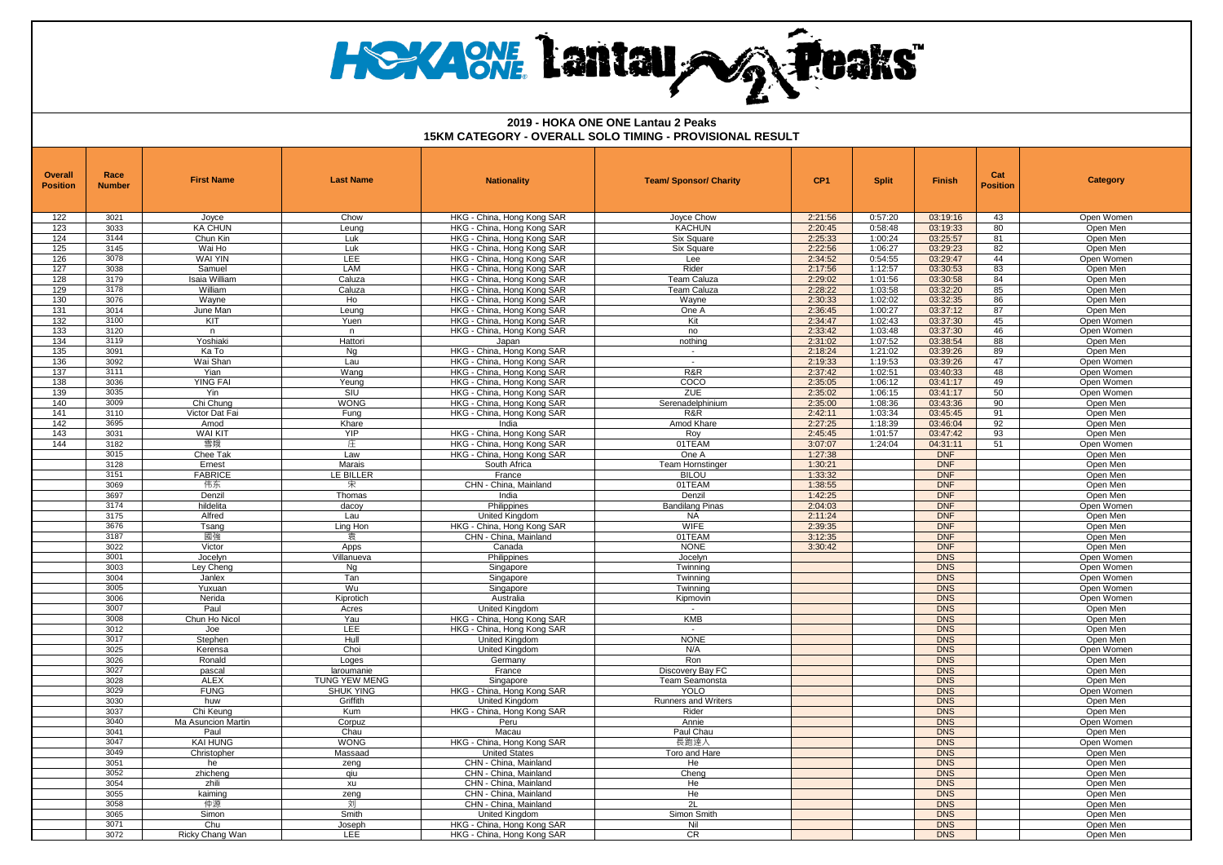## **HeXAM Lantau AG Peaks**

| Overall<br><b>Position</b> | Race<br><b>Number</b> | <b>First Name</b>           | <b>Last Name</b>     | <b>Nationality</b>                                       | <b>Team/ Sponsor/ Charity</b> | CP <sub>1</sub>    | <b>Split</b>       | <b>Finish</b>            | Cat<br><b>Position</b> | <b>Category</b>        |
|----------------------------|-----------------------|-----------------------------|----------------------|----------------------------------------------------------|-------------------------------|--------------------|--------------------|--------------------------|------------------------|------------------------|
| 122                        | 3021                  | Joyce                       | Chow                 | HKG - China, Hong Kong SAR                               | Joyce Chow                    | 2:21:56            | 0:57:20            | 03:19:16                 | 43                     | Open Women             |
| 123                        | 3033                  | <b>KA CHUN</b>              | Leung                | HKG - China, Hong Kong SAR                               | <b>KACHUN</b>                 | 2:20:45            | 0:58:48            | 03:19:33                 | 80                     | Open Men               |
| 124                        | 3144                  | Chun Kin                    | Luk                  | HKG - China, Hong Kong SAR                               | Six Square                    | 2:25:33            | 1:00:24            | 03:25:57                 | 81                     | Open Men               |
| 125                        | 3145                  | Wai Ho                      | Luk                  | HKG - China, Hong Kong SAR                               | Six Square                    | 2:22:56            | 1:06:27            | 03:29:23                 | 82                     | Open Men               |
| 126                        | 3078                  | <b>WAI YIN</b>              | LEE                  | HKG - China, Hong Kong SAR                               | Lee                           | 2:34:52            | 0:54:55            | 03:29:47                 | 44                     | Open Women             |
| 127                        | 3038                  | Samuel                      | <b>LAM</b>           | HKG - China, Hong Kong SAR                               | Rider                         | 2:17:56            | 1:12:57            | 03:30:53                 | 83                     | Open Men               |
| 128                        | 3179<br>3178          | Isaia William               | Caluza               | HKG - China, Hong Kong SAR                               | Team Caluza                   | 2:29:02            | 1:01:56            | 03:30:58                 | 84                     | Open Men               |
| 129<br>130                 | 3076                  | William<br>Wayne            | Caluza<br>Ho         | HKG - China, Hong Kong SAR<br>HKG - China, Hong Kong SAR | Team Caluza<br>Wayne          | 2:28:22<br>2:30:33 | 1:03:58<br>1:02:02 | 03:32:20<br>03:32:35     | 85<br>86               | Open Men<br>Open Men   |
| 131                        | 3014                  | June Man                    | Leung                | HKG - China, Hong Kong SAR                               | One A                         | 2:36:45            | 1:00:27            | 03:37:12                 | 87                     | Open Men               |
| 132                        | 3100                  | <b>KIT</b>                  | Yuen                 | HKG - China, Hong Kong SAR                               | Kit                           | 2:34:47            | 1:02:43            | 03:37:30                 | 45                     | Open Women             |
| 133                        | 3120                  | n.                          | $\mathsf{n}$         | HKG - China, Hong Kong SAR                               | no                            | 2:33:42            | 1:03:48            | 03:37:30                 | 46                     | Open Women             |
| 134                        | 3119                  | Yoshiaki                    | Hattori              | Japan                                                    | nothing                       | 2:31:02            | 1:07:52            | 03:38:54                 | 88                     | Open Men               |
| 135                        | 3091                  | Ka To                       | Ng                   | HKG - China, Hong Kong SAR                               | $\sim$                        | 2:18:24            | 1:21:02            | 03:39:26                 | 89                     | Open Men               |
| 136                        | 3092                  | Wai Shan                    | Lau                  | HKG - China, Hong Kong SAR                               | $\sim$                        | 2:19:33            | 1:19:53            | 03:39:26                 | 47                     | Open Women             |
| 137                        | 3111                  | Yian                        | Wang                 | HKG - China, Hong Kong SAR                               | R&R                           | 2:37:42            | 1:02:51            | 03:40:33                 | 48                     | Open Women             |
| 138                        | 3036                  | <b>YING FAI</b>             | Yeung                | HKG - China, Hong Kong SAR                               | COCO                          | 2:35:05            | 1:06:12            | 03:41:17                 | 49                     | Open Women             |
| 139                        | 3035                  | Yin                         | SIU                  | HKG - China, Hong Kong SAR                               | ZUE                           | 2:35:02            | 1:06:15            | 03:41:17                 | 50                     | Open Women             |
| 140<br>141                 | 3009<br>3110          | Chi Chung<br>Victor Dat Fai | <b>WONG</b><br>Funa  | HKG - China, Hong Kong SAR<br>HKG - China, Hong Kong SAR | Serenadelphinium<br>R&R       | 2:35:00<br>2:42:11 | 1:08:36<br>1:03:34 | 03:43:36<br>03:45:45     | 90<br>91               | Open Men<br>Open Men   |
| 142                        | 3695                  | Amod                        | Khare                | India                                                    | Amod Khare                    | 2:27:25            | 1:18:39            | 03:46:04                 | 92                     | Open Men               |
| 143                        | 3031                  | <b>WAI KIT</b>              | <b>YIP</b>           | HKG - China, Hong Kong SAR                               | Roy                           | 2:45:45            | 1:01:57            | 03:47:42                 | 93                     | Open Men               |
| 144                        | 3182                  | 雪娥                          | 庄                    | HKG - China, Hong Kong SAR                               | 01TEAM                        | 3:07:07            | 1:24:04            | 04:31:11                 | 51                     | Open Women             |
|                            | 3015                  | Chee Tak                    | Law                  | HKG - China, Hong Kong SAR                               | One A                         | 1:27:38            |                    | <b>DNF</b>               |                        | Open Men               |
|                            | 3128                  | Ernest                      | Marais               | South Africa                                             | Team Hornstinger              | 1:30:21            |                    | <b>DNF</b>               |                        | Open Men               |
|                            | 3151                  | <b>FABRICE</b>              | <b>LE BILLER</b>     | France                                                   | <b>BILOU</b>                  | 1:33:32            |                    | <b>DNF</b>               |                        | Open Men               |
|                            | 3069                  | 伟东                          | 宋                    | CHN - China, Mainland                                    | 01TEAM                        | 1:38:55            |                    | <b>DNF</b>               |                        | Open Men               |
|                            | 3697                  | Denzil                      | Thomas               | India                                                    | Denzil                        | 1:42:25            |                    | <b>DNF</b>               |                        | Open Men               |
|                            | 3174                  | hildelita                   | dacov                | Philippines                                              | <b>Bandilang Pinas</b>        | 2:04:03            |                    | <b>DNF</b><br><b>DNF</b> |                        | Open Women             |
|                            | 3175<br>3676          | Alfred<br>Tsang             | Lau                  | United Kingdom<br>HKG - China, Hong Kong SAR             | <b>NA</b><br><b>WIFE</b>      | 2:11:24<br>2:39:35 |                    | <b>DNF</b>               |                        | Open Men<br>Open Men   |
|                            | 3187                  | 國強                          | Ling Hon<br>袁        | CHN - China, Mainland                                    | 01TEAM                        | 3:12:35            |                    | <b>DNF</b>               |                        | Open Men               |
|                            | 3022                  | Victor                      | Apps                 | Canada                                                   | <b>NONE</b>                   | 3:30:42            |                    | <b>DNF</b>               |                        | Open Men               |
|                            | 3001                  | Jocelyn                     | Villanueva           | Philippines                                              | Jocelyn                       |                    |                    | <b>DNS</b>               |                        | Open Women             |
|                            | 3003                  | Ley Chenc                   | Ng                   | Singapore                                                | Twinnina                      |                    |                    | <b>DNS</b>               |                        | Open Women             |
|                            | 3004                  | Janlex                      | Tan                  | Singapore                                                | Twinning                      |                    |                    | <b>DNS</b>               |                        | Open Women             |
|                            | 3005                  | Yuxuan                      | Wu                   | Singapore                                                | Twinning                      |                    |                    | <b>DNS</b>               |                        | Open Women             |
|                            | 3006                  | Nerida                      | Kiprotich            | Australia                                                | Kipmovin                      |                    |                    | <b>DNS</b>               |                        | Open Women             |
|                            | 3007                  | Paul                        | Acres                | United Kingdom                                           |                               |                    |                    | <b>DNS</b>               |                        | Open Men               |
|                            | 3008                  | Chun Ho Nicol               | Yau                  | HKG - China, Hong Kong SAR                               | KMB                           |                    |                    | <b>DNS</b>               |                        | Open Men               |
|                            | 3012<br>3017          | Joe<br>Stephen              | <b>LEE</b><br>Hull   | HKG - China, Hong Kong SAR<br><b>United Kingdom</b>      | $\sim$<br><b>NONE</b>         |                    |                    | <b>DNS</b><br><b>DNS</b> |                        | Open Men<br>Open Men   |
|                            | 3025                  | Kerensa                     | Choi                 | United Kingdom                                           | N/A                           |                    |                    | <b>DNS</b>               |                        | Open Women             |
|                            | 3026                  | Ronald                      | Loges                | Germany                                                  | Ron                           |                    |                    | <b>DNS</b>               |                        | Open Men               |
|                            | 3027                  | pascal                      | laroumanie           | France                                                   | Discovery Bay FC              |                    |                    | <b>DNS</b>               |                        | Open Men               |
|                            | 3028                  | <b>ALEX</b>                 | <b>TUNG YEW MENG</b> | Singapore                                                | Team Seamonsta                |                    |                    | <b>DNS</b>               |                        | Open Men               |
|                            | 3029                  | <b>FUNG</b>                 | <b>SHUK YING</b>     | HKG - China, Hong Kong SAR                               | <b>YOLO</b>                   |                    |                    | <b>DNS</b>               |                        | Open Women             |
|                            | 3030                  | huw                         | Griffith             | United Kingdom                                           | <b>Runners and Writers</b>    |                    |                    | <b>DNS</b>               |                        | Open Men               |
|                            | 3037                  | Chi Keuna                   | Kum                  | HKG - China, Hong Kong SAR                               | Rider                         |                    |                    | <b>DNS</b>               |                        | Open Men               |
|                            | 3040                  | Ma Asuncion Martin          | Corpuz               | Peru                                                     | Annie                         |                    |                    | <b>DNS</b>               |                        | Open Women             |
|                            | 3041<br>3047          | Paul<br><b>KAI HUNG</b>     | Chau<br><b>WONG</b>  | Macau<br>HKG - China, Hong Kong SAR                      | Paul Chau<br>長跑達人             |                    |                    | <b>DNS</b><br><b>DNS</b> |                        | Open Men<br>Open Women |
|                            | 3049                  | Christopher                 | Massaad              | <b>United States</b>                                     | Toro and Hare                 |                    |                    | <b>DNS</b>               |                        | Open Men               |
|                            | 3051                  | he                          | zeng                 | CHN - China, Mainland                                    | He                            |                    |                    | <b>DNS</b>               |                        | Open Men               |
|                            | 3052                  | zhicheng                    | qiu                  | CHN - China, Mainland                                    | Chena                         |                    |                    | <b>DNS</b>               |                        | Open Men               |
|                            | 3054                  | zhili                       | xu                   | CHN - China, Mainland                                    | He                            |                    |                    | <b>DNS</b>               |                        | Open Men               |
|                            | 3055                  | kaiming                     | zeng                 | CHN - China, Mainland                                    | He                            |                    |                    | <b>DNS</b>               |                        | Open Men               |
|                            | 3058                  | 仲源                          | 刘                    | CHN - China, Mainland                                    | 2L                            |                    |                    | <b>DNS</b>               |                        | Open Men               |
|                            | 3065                  | Simon                       | Smith                | United Kingdom                                           | Simon Smith                   |                    |                    | <b>DNS</b>               |                        | Open Men               |
|                            | 3071                  | Chu                         | Joseph               | HKG - China, Hong Kong SAR                               | Nil                           |                    |                    | <b>DNS</b>               |                        | Open Men               |
|                            | 3072                  | Ricky Chang Wan             | LEE                  | HKG - China, Hong Kong SAR                               | CR                            |                    |                    | <b>DNS</b>               |                        | Open Men               |